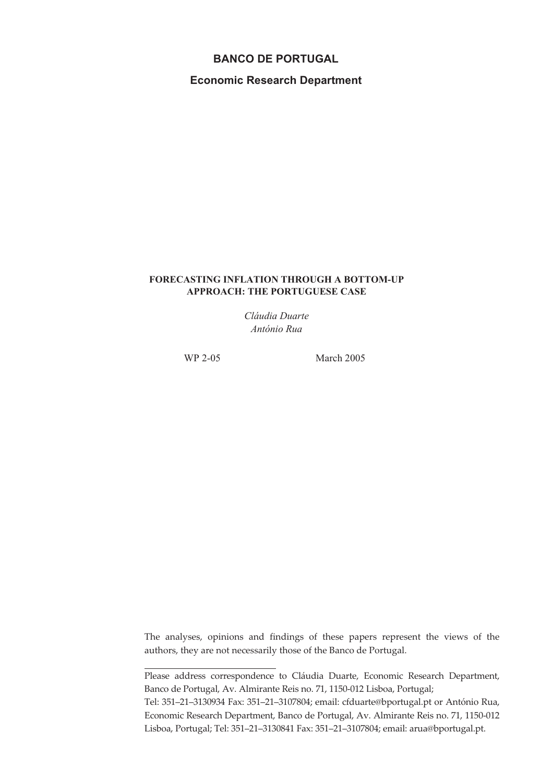# **BANCO DE PORTUGAL**

**Economic Research Department**

### **FORECASTING INFLATION THROUGH A BOTTOM-UP APPROACH: THE PORTUGUESE CASE**

*Cláudia Duarte António Rua*

WP 2-05 March 2005

The analyses, opinions and findings of these papers represent the views of the authors, they are not necessarily those of the Banco de Portugal.

Please address correspondence to Cláudia Duarte, Economic Research Department, Banco de Portugal, Av. Almirante Reis no. 71, 1150-012 Lisboa, Portugal;

Tel: 351–21–3130934 Fax: 351–21–3107804; email: cfduarte@bportugal.pt or António Rua, Economic Research Department, Banco de Portugal, Av. Almirante Reis no. 71, 1150-012 Lisboa, Portugal; Tel: 351–21–3130841 Fax: 351–21–3107804; email: arua@bportugal.pt.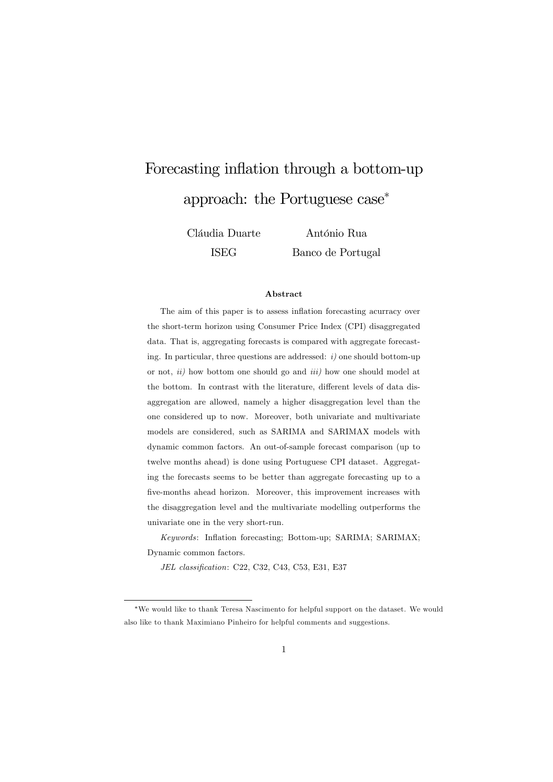# Forecasting inflation through a bottom-up approach: the Portuguese case<sup>∗</sup>

Cláudia Duarte ISEG

António Rua Banco de Portugal

#### Abstract

The aim of this paper is to assess inflation forecasting acurracy over the short-term horizon using Consumer Price Index (CPI) disaggregated data. That is, aggregating forecasts is compared with aggregate forecasting. In particular, three questions are addressed:  $i$ ) one should bottom-up or not,  $ii)$  how bottom one should go and  $iii)$  how one should model at the bottom. In contrast with the literature, different levels of data disaggregation are allowed, namely a higher disaggregation level than the one considered up to now. Moreover, both univariate and multivariate models are considered, such as SARIMA and SARIMAX models with dynamic common factors. An out-of-sample forecast comparison (up to twelve months ahead) is done using Portuguese CPI dataset. Aggregating the forecasts seems to be better than aggregate forecasting up to a five-months ahead horizon. Moreover, this improvement increases with the disaggregation level and the multivariate modelling outperforms the univariate one in the very short-run.

Keywords: Inflation forecasting; Bottom-up; SARIMA; SARIMAX; Dynamic common factors.

JEL classification: C22, C32, C43, C53, E31, E37

<sup>∗</sup>We would like to thank Teresa Nascimento for helpful support on the dataset. We would also like to thank Maximiano Pinheiro for helpful comments and suggestions.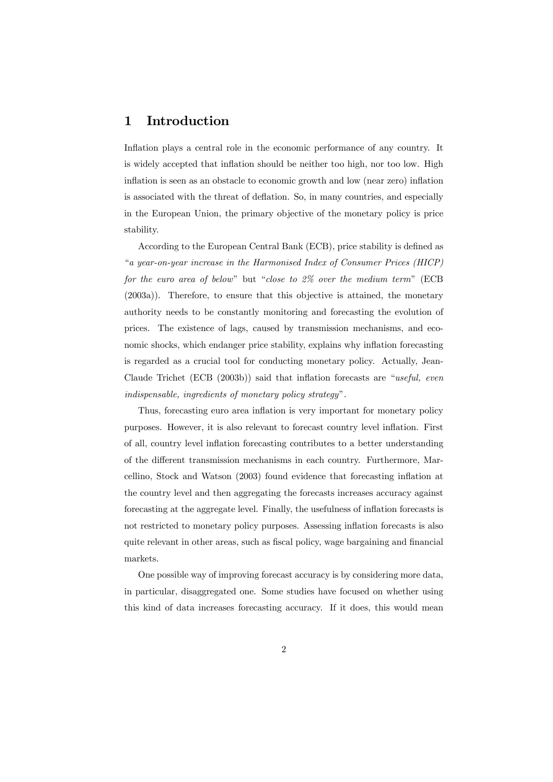# 1 Introduction

Inflation plays a central role in the economic performance of any country. It is widely accepted that inflation should be neither too high, nor too low. High inflation is seen as an obstacle to economic growth and low (near zero) inflation is associated with the threat of deflation. So, in many countries, and especially in the European Union, the primary objective of the monetary policy is price stability.

According to the European Central Bank (ECB), price stability is defined as "a year-on-year increase in the Harmonised Index of Consumer Prices (HICP) for the euro area of below" but "close to 2% over the medium term" (ECB (2003a)). Therefore, to ensure that this objective is attained, the monetary authority needs to be constantly monitoring and forecasting the evolution of prices. The existence of lags, caused by transmission mechanisms, and economic shocks, which endanger price stability, explains why inflation forecasting is regarded as a crucial tool for conducting monetary policy. Actually, Jean-Claude Trichet (ECB (2003b)) said that inflation forecasts are "useful, even indispensable, ingredients of monetary policy strategy".

Thus, forecasting euro area inflation is very important for monetary policy purposes. However, it is also relevant to forecast country level inflation. First of all, country level inflation forecasting contributes to a better understanding of the different transmission mechanisms in each country. Furthermore, Marcellino, Stock and Watson (2003) found evidence that forecasting inflation at the country level and then aggregating the forecasts increases accuracy against forecasting at the aggregate level. Finally, the usefulness of inflation forecasts is not restricted to monetary policy purposes. Assessing inflation forecasts is also quite relevant in other areas, such as fiscal policy, wage bargaining and financial markets.

One possible way of improving forecast accuracy is by considering more data, in particular, disaggregated one. Some studies have focused on whether using this kind of data increases forecasting accuracy. If it does, this would mean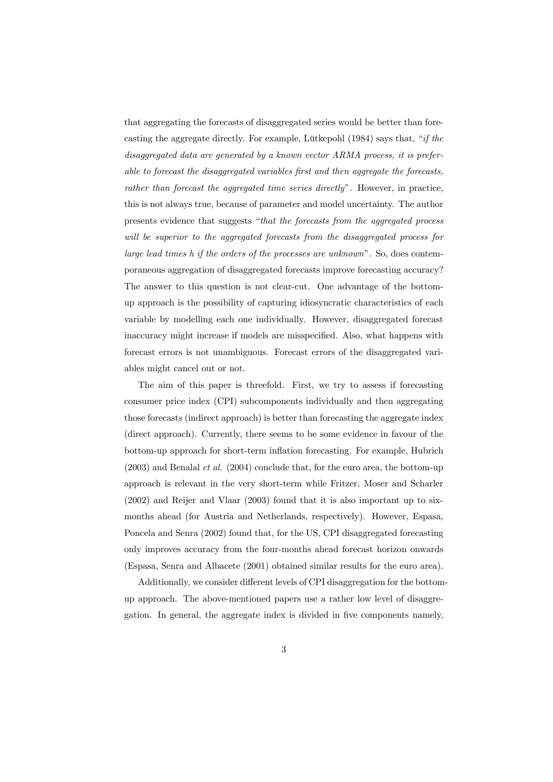that aggregating the forecasts of disaggregated series would be better than forecasting the aggregate directly. For example, Lütkepohl (1984) says that, "if the disaggregated data are generated by a known vector ARMA process, it is preferable to forecast the disaggregated variables first and then aggregate the forecasts, rather than forecast the aggregated time series directly". However, in practice, this is not always true, because of parameter and model uncertainty. The author presents evidence that suggests "that the forecasts from the aggregated process will be superior to the aggregated forecasts from the disaggregated process for large lead times h if the orders of the processes are unknown". So, does contemporaneous aggregation of disaggregated forecasts improve forecasting accuracy? The answer to this question is not clear-cut. One advantage of the bottomup approach is the possibility of capturing idiosyncratic characteristics of each variable by modelling each one individually. However, disaggregated forecast inaccuracy might increase if models are misspecified. Also, what happens with forecast errors is not unambiguous. Forecast errors of the disaggregated variables might cancel out or not.

The aim of this paper is threefold. First, we try to assess if forecasting consumer price index (CPI) subcomponents individually and then aggregating those forecasts (indirect approach) is better than forecasting the aggregate index (direct approach). Currently, there seems to be some evidence in favour of the bottom-up approach for short-term inflation forecasting. For example, Hubrich  $(2003)$  and Benalal *et al.*  $(2004)$  conclude that, for the euro area, the bottom-up approach is relevant in the very short-term while Fritzer, Moser and Scharler (2002) and Reijer and Vlaar (2003) found that it is also important up to sixmonths ahead (for Austria and Netherlands, respectively). However, Espasa, Poncela and Senra (2002) found that, for the US, CPI disaggregated forecasting only improves accuracy from the four-months ahead forecast horizon onwards (Espasa, Senra and Albacete (2001) obtained similar results for the euro area).

Additionally, we consider different levels of CPI disaggregation for the bottomup approach. The above-mentioned papers use a rather low level of disaggregation. In general, the aggregate index is divided in five components namely,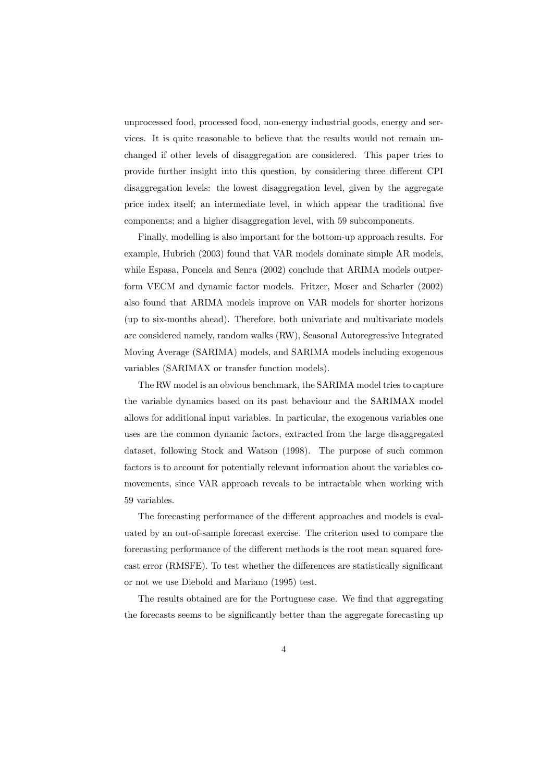unprocessed food, processed food, non-energy industrial goods, energy and services. It is quite reasonable to believe that the results would not remain unchanged if other levels of disaggregation are considered. This paper tries to provide further insight into this question, by considering three different CPI disaggregation levels: the lowest disaggregation level, given by the aggregate price index itself; an intermediate level, in which appear the traditional five components; and a higher disaggregation level, with 59 subcomponents.

Finally, modelling is also important for the bottom-up approach results. For example, Hubrich (2003) found that VAR models dominate simple AR models, while Espasa, Poncela and Senra (2002) conclude that ARIMA models outperform VECM and dynamic factor models. Fritzer, Moser and Scharler (2002) also found that ARIMA models improve on VAR models for shorter horizons (up to six-months ahead). Therefore, both univariate and multivariate models are considered namely, random walks (RW), Seasonal Autoregressive Integrated Moving Average (SARIMA) models, and SARIMA models including exogenous variables (SARIMAX or transfer function models).

The RW model is an obvious benchmark, the SARIMA model tries to capture the variable dynamics based on its past behaviour and the SARIMAX model allows for additional input variables. In particular, the exogenous variables one uses are the common dynamic factors, extracted from the large disaggregated dataset, following Stock and Watson (1998). The purpose of such common factors is to account for potentially relevant information about the variables comovements, since VAR approach reveals to be intractable when working with 59 variables.

The forecasting performance of the different approaches and models is evaluated by an out-of-sample forecast exercise. The criterion used to compare the forecasting performance of the different methods is the root mean squared forecast error (RMSFE). To test whether the differences are statistically significant or not we use Diebold and Mariano (1995) test.

The results obtained are for the Portuguese case. We find that aggregating the forecasts seems to be significantly better than the aggregate forecasting up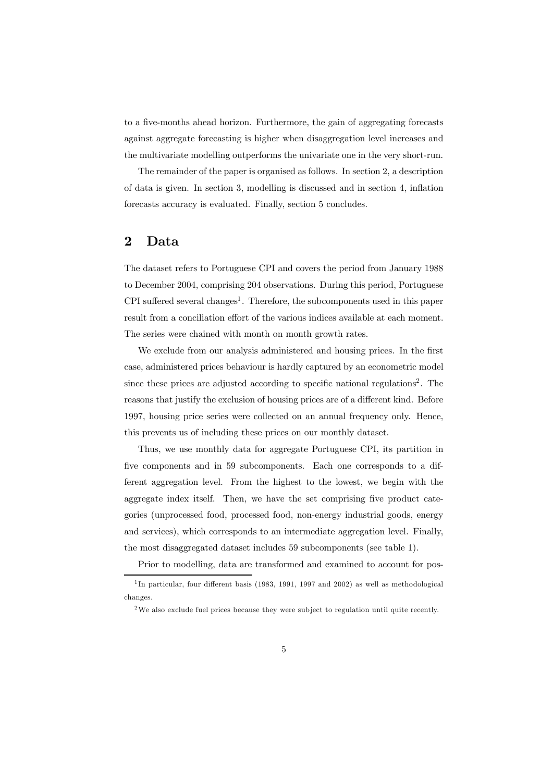to a five-months ahead horizon. Furthermore, the gain of aggregating forecasts against aggregate forecasting is higher when disaggregation level increases and the multivariate modelling outperforms the univariate one in the very short-run.

The remainder of the paper is organised as follows. In section 2, a description of data is given. In section 3, modelling is discussed and in section 4, inflation forecasts accuracy is evaluated. Finally, section 5 concludes.

# 2 Data

The dataset refers to Portuguese CPI and covers the period from January 1988 to December 2004, comprising 204 observations. During this period, Portuguese CPI suffered several changes<sup>1</sup>. Therefore, the subcomponents used in this paper result from a conciliation effort of the various indices available at each moment. The series were chained with month on month growth rates.

We exclude from our analysis administered and housing prices. In the first case, administered prices behaviour is hardly captured by an econometric model since these prices are adjusted according to specific national regulations<sup>2</sup>. The reasons that justify the exclusion of housing prices are of a different kind. Before 1997, housing price series were collected on an annual frequency only. Hence, this prevents us of including these prices on our monthly dataset.

Thus, we use monthly data for aggregate Portuguese CPI, its partition in five components and in 59 subcomponents. Each one corresponds to a different aggregation level. From the highest to the lowest, we begin with the aggregate index itself. Then, we have the set comprising five product categories (unprocessed food, processed food, non-energy industrial goods, energy and services), which corresponds to an intermediate aggregation level. Finally, the most disaggregated dataset includes 59 subcomponents (see table 1).

Prior to modelling, data are transformed and examined to account for pos-

<sup>&</sup>lt;sup>1</sup>In particular, four different basis (1983, 1991, 1997 and 2002) as well as methodological changes.

<sup>&</sup>lt;sup>2</sup>We also exclude fuel prices because they were subject to regulation until quite recently.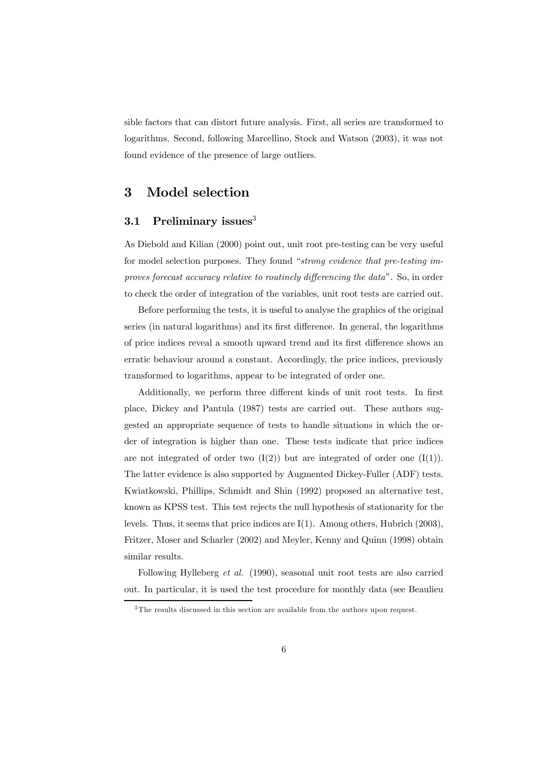sible factors that can distort future analysis. First, all series are transformed to logarithms. Second, following Marcellino, Stock and Watson (2003), it was not found evidence of the presence of large outliers.

### 3 Model selection

### 3.1 Preliminary issues $3$

As Diebold and Kilian (2000) point out, unit root pre-testing can be very useful for model selection purposes. They found "strong evidence that pre-testing improves forecast accuracy relative to routinely differencing the data". So, in order to check the order of integration of the variables, unit root tests are carried out.

Before performing the tests, it is useful to analyse the graphics of the original series (in natural logarithms) and its first difference. In general, the logarithms of price indices reveal a smooth upward trend and its first difference shows an erratic behaviour around a constant. Accordingly, the price indices, previously transformed to logarithms, appear to be integrated of order one.

Additionally, we perform three different kinds of unit root tests. In first place, Dickey and Pantula (1987) tests are carried out. These authors suggested an appropriate sequence of tests to handle situations in which the order of integration is higher than one. These tests indicate that price indices are not integrated of order two  $(I(2))$  but are integrated of order one  $(I(1))$ . The latter evidence is also supported by Augmented Dickey-Fuller (ADF) tests. Kwiatkowski, Phillips, Schmidt and Shin (1992) proposed an alternative test, known as KPSS test. This test rejects the null hypothesis of stationarity for the levels. Thus, it seems that price indices are I(1). Among others, Hubrich (2003), Fritzer, Moser and Scharler (2002) and Meyler, Kenny and Quinn (1998) obtain similar results.

Following Hylleberg et al. (1990), seasonal unit root tests are also carried out. In particular, it is used the test procedure for monthly data (see Beaulieu

<sup>&</sup>lt;sup>3</sup>The results discussed in this section are available from the authors upon request.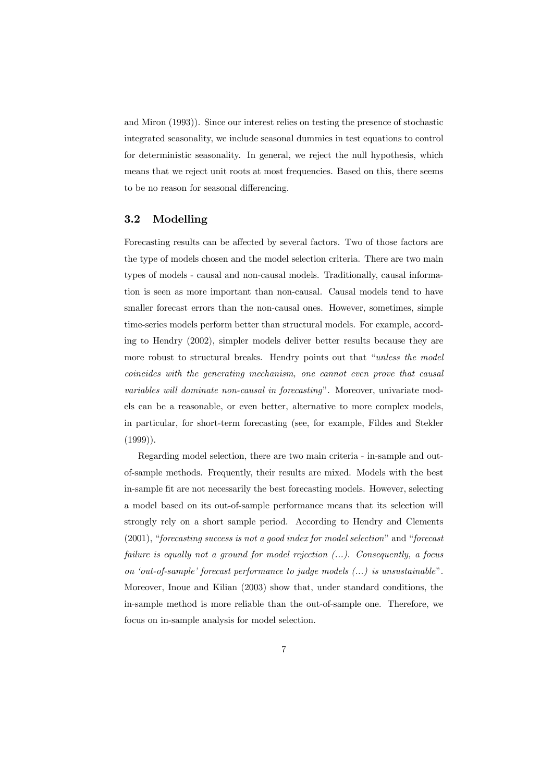and Miron (1993)). Since our interest relies on testing the presence of stochastic integrated seasonality, we include seasonal dummies in test equations to control for deterministic seasonality. In general, we reject the null hypothesis, which means that we reject unit roots at most frequencies. Based on this, there seems to be no reason for seasonal differencing.

### 3.2 Modelling

Forecasting results can be affected by several factors. Two of those factors are the type of models chosen and the model selection criteria. There are two main types of models - causal and non-causal models. Traditionally, causal information is seen as more important than non-causal. Causal models tend to have smaller forecast errors than the non-causal ones. However, sometimes, simple time-series models perform better than structural models. For example, according to Hendry (2002), simpler models deliver better results because they are more robust to structural breaks. Hendry points out that "unless the model coincides with the generating mechanism, one cannot even prove that causal variables will dominate non-causal in forecasting". Moreover, univariate models can be a reasonable, or even better, alternative to more complex models, in particular, for short-term forecasting (see, for example, Fildes and Stekler  $(1999)$ ).

Regarding model selection, there are two main criteria - in-sample and outof-sample methods. Frequently, their results are mixed. Models with the best in-sample fit are not necessarily the best forecasting models. However, selecting a model based on its out-of-sample performance means that its selection will strongly rely on a short sample period. According to Hendry and Clements (2001), "forecasting success is not a good index for model selection" and "forecast failure is equally not a ground for model rejection  $(...)$ . Consequently, a focus on 'out-of-sample' forecast performance to judge models (...) is unsustainable". Moreover, Inoue and Kilian (2003) show that, under standard conditions, the in-sample method is more reliable than the out-of-sample one. Therefore, we focus on in-sample analysis for model selection.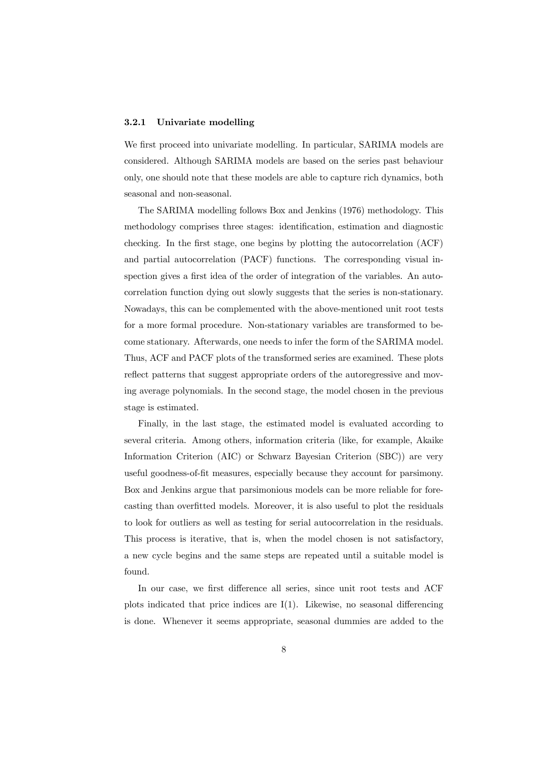#### 3.2.1 Univariate modelling

We first proceed into univariate modelling. In particular, SARIMA models are considered. Although SARIMA models are based on the series past behaviour only, one should note that these models are able to capture rich dynamics, both seasonal and non-seasonal.

The SARIMA modelling follows Box and Jenkins (1976) methodology. This methodology comprises three stages: identification, estimation and diagnostic checking. In the first stage, one begins by plotting the autocorrelation (ACF) and partial autocorrelation (PACF) functions. The corresponding visual inspection gives a first idea of the order of integration of the variables. An autocorrelation function dying out slowly suggests that the series is non-stationary. Nowadays, this can be complemented with the above-mentioned unit root tests for a more formal procedure. Non-stationary variables are transformed to become stationary. Afterwards, one needs to infer the form of the SARIMA model. Thus, ACF and PACF plots of the transformed series are examined. These plots reflect patterns that suggest appropriate orders of the autoregressive and moving average polynomials. In the second stage, the model chosen in the previous stage is estimated.

Finally, in the last stage, the estimated model is evaluated according to several criteria. Among others, information criteria (like, for example, Akaike Information Criterion (AIC) or Schwarz Bayesian Criterion (SBC)) are very useful goodness-of-fit measures, especially because they account for parsimony. Box and Jenkins argue that parsimonious models can be more reliable for forecasting than overfitted models. Moreover, it is also useful to plot the residuals to look for outliers as well as testing for serial autocorrelation in the residuals. This process is iterative, that is, when the model chosen is not satisfactory, a new cycle begins and the same steps are repeated until a suitable model is found.

In our case, we first difference all series, since unit root tests and ACF plots indicated that price indices are I(1). Likewise, no seasonal differencing is done. Whenever it seems appropriate, seasonal dummies are added to the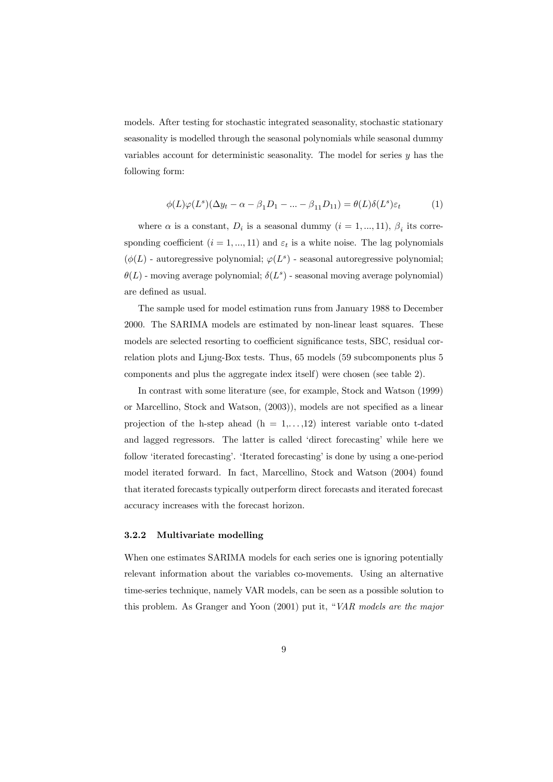models. After testing for stochastic integrated seasonality, stochastic stationary seasonality is modelled through the seasonal polynomials while seasonal dummy variables account for deterministic seasonality. The model for series  $y$  has the following form:

$$
\phi(L)\varphi(L^s)(\Delta y_t - \alpha - \beta_1 D_1 - \dots - \beta_{11} D_{11}) = \theta(L)\delta(L^s)\varepsilon_t \tag{1}
$$

where  $\alpha$  is a constant,  $D_i$  is a seasonal dummy  $(i = 1, ..., 11)$ ,  $\beta_i$  its corresponding coefficient  $(i = 1, ..., 11)$  and  $\varepsilon_t$  is a white noise. The lag polynomials  $(\phi(L))$  - autoregressive polynomial;  $\varphi(L^s)$  - seasonal autoregressive polynomial:  $\theta(L)$  - moving average polynomial;  $\delta(L^s)$  - seasonal moving average polynomial) are defined as usual.

The sample used for model estimation runs from January 1988 to December 2000. The SARIMA models are estimated by non-linear least squares. These models are selected resorting to coefficient significance tests, SBC, residual correlation plots and Ljung-Box tests. Thus, 65 models (59 subcomponents plus 5 components and plus the aggregate index itself) were chosen (see table 2).

In contrast with some literature (see, for example, Stock and Watson (1999) or Marcellino, Stock and Watson, (2003)), models are not specified as a linear projection of the h-step ahead  $(h = 1, \ldots, 12)$  interest variable onto t-dated and lagged regressors. The latter is called 'direct forecasting' while here we follow 'iterated forecasting'. 'Iterated forecasting' is done by using a one-period model iterated forward. In fact, Marcellino, Stock and Watson (2004) found that iterated forecasts typically outperform direct forecasts and iterated forecast accuracy increases with the forecast horizon.

#### 3.2.2 Multivariate modelling

When one estimates SARIMA models for each series one is ignoring potentially relevant information about the variables co-movements. Using an alternative time-series technique, namely VAR models, can be seen as a possible solution to this problem. As Granger and Yoon (2001) put it, "VAR models are the major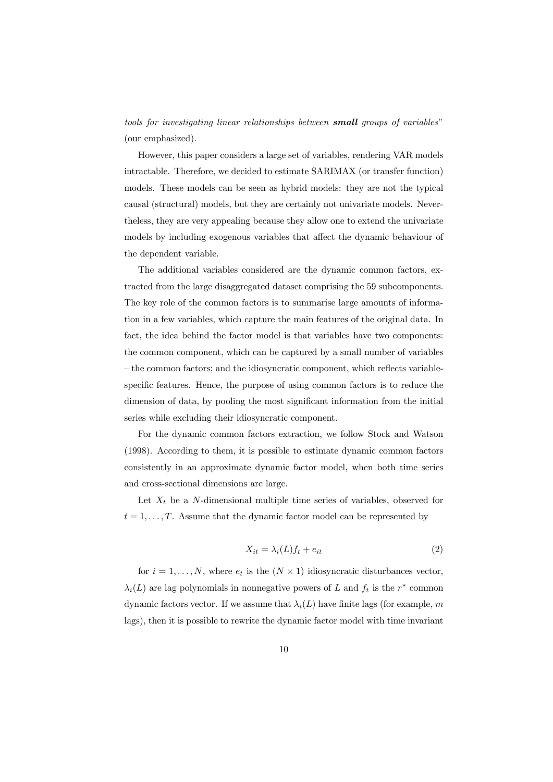tools for investigating linear relationships between small groups of variables" (our emphasized).

However, this paper considers a large set of variables, rendering VAR models intractable. Therefore, we decided to estimate SARIMAX (or transfer function) models. These models can be seen as hybrid models: they are not the typical causal (structural) models, but they are certainly not univariate models. Nevertheless, they are very appealing because they allow one to extend the univariate models by including exogenous variables that affect the dynamic behaviour of the dependent variable.

The additional variables considered are the dynamic common factors, extracted from the large disaggregated dataset comprising the 59 subcomponents. The key role of the common factors is to summarise large amounts of information in a few variables, which capture the main features of the original data. In fact, the idea behind the factor model is that variables have two components: the common component, which can be captured by a small number of variables — the common factors; and the idiosyncratic component, which reflects variablespecific features. Hence, the purpose of using common factors is to reduce the dimension of data, by pooling the most significant information from the initial series while excluding their idiosyncratic component.

For the dynamic common factors extraction, we follow Stock and Watson (1998). According to them, it is possible to estimate dynamic common factors consistently in an approximate dynamic factor model, when both time series and cross-sectional dimensions are large.

Let  $X_t$  be a N-dimensional multiple time series of variables, observed for  $t = 1, \ldots, T$ . Assume that the dynamic factor model can be represented by

$$
X_{it} = \lambda_i(L)f_t + e_{it} \tag{2}
$$

for  $i = 1, \ldots, N$ , where  $e_t$  is the  $(N \times 1)$  idiosyncratic disturbances vector,  $\lambda_i(L)$  are lag polynomials in nonnegative powers of L and  $f_t$  is the r<sup>\*</sup> common dynamic factors vector. If we assume that  $\lambda_i(L)$  have finite lags (for example, m lags), then it is possible to rewrite the dynamic factor model with time invariant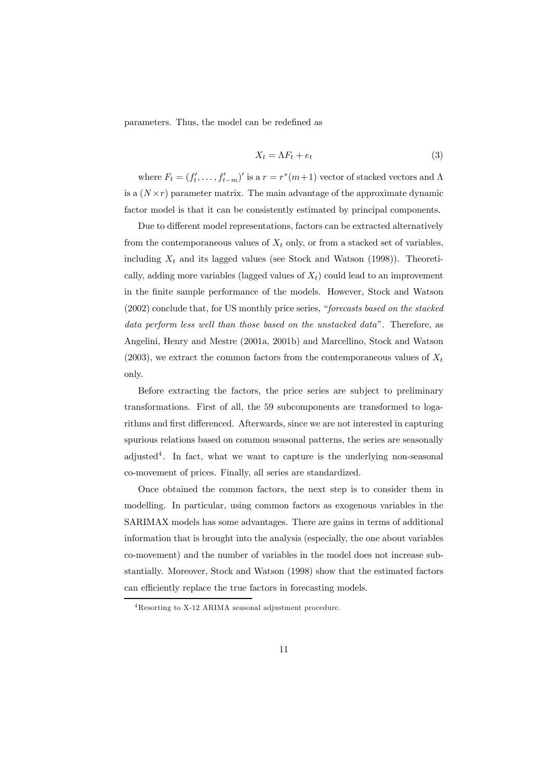parameters. Thus, the model can be redefined as

$$
X_t = \Lambda F_t + e_t \tag{3}
$$

where  $F_t = (f'_t, \ldots, f'_{t-m})'$  is a  $r = r^*(m+1)$  vector of stacked vectors and  $\Lambda$ is a  $(N \times r)$  parameter matrix. The main advantage of the approximate dynamic factor model is that it can be consistently estimated by principal components.

Due to different model representations, factors can be extracted alternatively from the contemporaneous values of  $X_t$  only, or from a stacked set of variables. including  $X_t$  and its lagged values (see Stock and Watson (1998)). Theoretically, adding more variables (lagged values of  $X_t$ ) could lead to an improvement in the finite sample performance of the models. However, Stock and Watson (2002) conclude that, for US monthly price series, "forecasts based on the stacked data perform less well than those based on the unstacked data". Therefore, as Angelini, Henry and Mestre (2001a, 2001b) and Marcellino, Stock and Watson (2003), we extract the common factors from the contemporaneous values of  $X_t$ only.

Before extracting the factors, the price series are subject to preliminary transformations. First of all, the 59 subcomponents are transformed to logarithms and first differenced. Afterwards, since we are not interested in capturing spurious relations based on common seasonal patterns, the series are seasonally adjusted<sup>4</sup>. In fact, what we want to capture is the underlying non-seasonal co-movement of prices. Finally, all series are standardized.

Once obtained the common factors, the next step is to consider them in modelling. In particular, using common factors as exogenous variables in the SARIMAX models has some advantages. There are gains in terms of additional information that is brought into the analysis (especially, the one about variables co-movement) and the number of variables in the model does not increase substantially. Moreover, Stock and Watson (1998) show that the estimated factors can efficiently replace the true factors in forecasting models.

<sup>4</sup>Resorting to X-12 ARIMA seasonal adjustment procedure.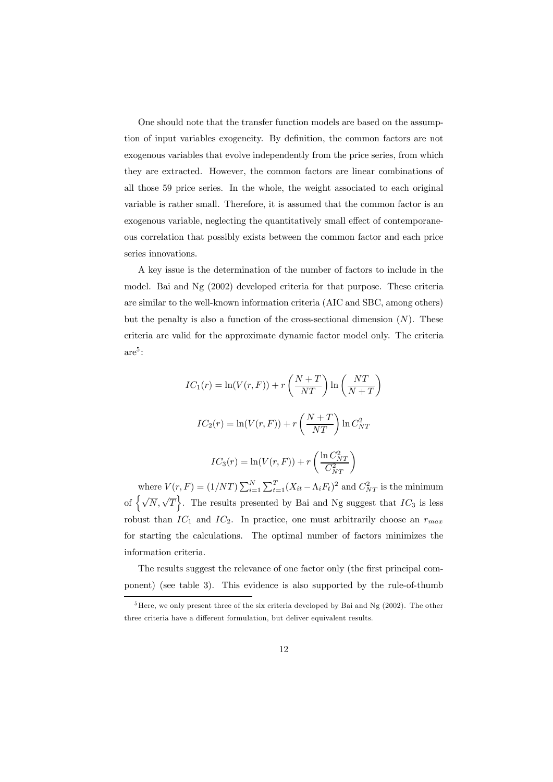One should note that the transfer function models are based on the assumption of input variables exogeneity. By definition, the common factors are not exogenous variables that evolve independently from the price series, from which they are extracted. However, the common factors are linear combinations of all those 59 price series. In the whole, the weight associated to each original variable is rather small. Therefore, it is assumed that the common factor is an exogenous variable, neglecting the quantitatively small effect of contemporaneous correlation that possibly exists between the common factor and each price series innovations.

A key issue is the determination of the number of factors to include in the model. Bai and Ng (2002) developed criteria for that purpose. These criteria are similar to the well-known information criteria (AIC and SBC, among others) but the penalty is also a function of the cross-sectional dimension  $(N)$ . These criteria are valid for the approximate dynamic factor model only. The criteria  $are^5$ :

$$
IC_1(r) = \ln(V(r, F)) + r\left(\frac{N+T}{NT}\right)\ln\left(\frac{NT}{N+T}\right)
$$

$$
IC_2(r) = \ln(V(r, F)) + r\left(\frac{N+T}{NT}\right)\ln C_{NT}^2
$$

$$
IC_3(r) = \ln(V(r, F)) + r\left(\frac{\ln C_{NT}^2}{C_{NT}^2}\right)
$$

where  $V(r, F) = (1/NT) \sum_{i=1}^{N} \sum_{t=1}^{T} (X_{it} - \Lambda_i F_t)^2$  and  $C_{NT}^2$  is the minimum of  $\left\{\sqrt{N}, \sqrt{T}\right\}$ . The results presented by Bai and Ng suggest that  $IC_3$  is less robust than  $IC_1$  and  $IC_2$ . In practice, one must arbitrarily choose an  $r_{max}$ for starting the calculations. The optimal number of factors minimizes the information criteria.

The results suggest the relevance of one factor only (the first principal component) (see table 3). This evidence is also supported by the rule-of-thumb

 $5$ Here, we only present three of the six criteria developed by Bai and Ng (2002). The other three criteria have a different formulation, but deliver equivalent results.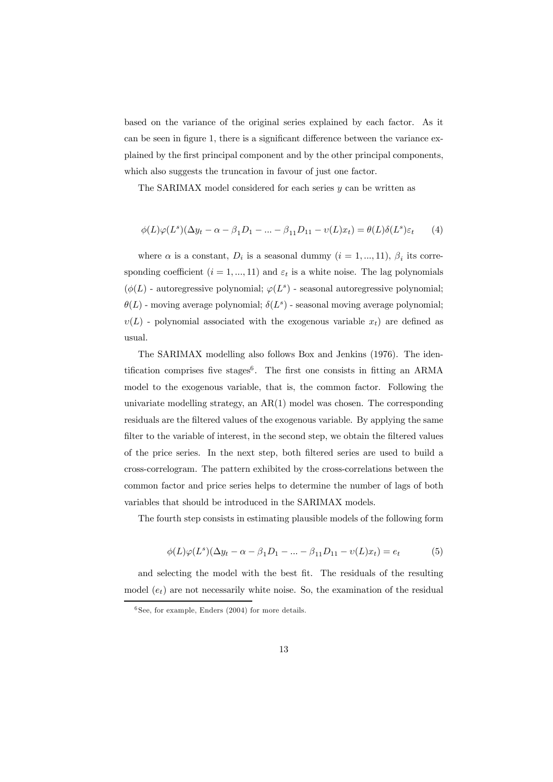based on the variance of the original series explained by each factor. As it can be seen in figure 1, there is a significant difference between the variance explained by the first principal component and by the other principal components, which also suggests the truncation in favour of just one factor.

The SARIMAX model considered for each series  $y$  can be written as

$$
\phi(L)\varphi(L^s)(\Delta y_t - \alpha - \beta_1 D_1 - \dots - \beta_{11} D_{11} - v(L)x_t) = \theta(L)\delta(L^s)\varepsilon_t \qquad (4)
$$

where  $\alpha$  is a constant,  $D_i$  is a seasonal dummy  $(i = 1, ..., 11)$ ,  $\beta_i$  its corresponding coefficient  $(i = 1, ..., 11)$  and  $\varepsilon_t$  is a white noise. The lag polynomials  $(\phi(L)$  - autoregressive polynomial;  $\varphi(L^s)$  - seasonal autoregressive polynomial;  $\theta(L)$  - moving average polynomial;  $\delta(L^s)$  - seasonal moving average polynomial;  $v(L)$  - polynomial associated with the exogenous variable  $x_t$ ) are defined as usual.

The SARIMAX modelling also follows Box and Jenkins (1976). The identification comprises five stages<sup>6</sup>. The first one consists in fitting an ARMA model to the exogenous variable, that is, the common factor. Following the univariate modelling strategy, an  $AR(1)$  model was chosen. The corresponding residuals are the filtered values of the exogenous variable. By applying the same filter to the variable of interest, in the second step, we obtain the filtered values of the price series. In the next step, both filtered series are used to build a cross-correlogram. The pattern exhibited by the cross-correlations between the common factor and price series helps to determine the number of lags of both variables that should be introduced in the SARIMAX models.

The fourth step consists in estimating plausible models of the following form

$$
\phi(L)\varphi(L^{s})(\Delta y_{t} - \alpha - \beta_{1}D_{1} - ... - \beta_{11}D_{11} - v(L)x_{t}) = e_{t}
$$
\n(5)

and selecting the model with the best fit. The residuals of the resulting model  $(e_t)$  are not necessarily white noise. So, the examination of the residual

 $6$  See, for example, Enders (2004) for more details.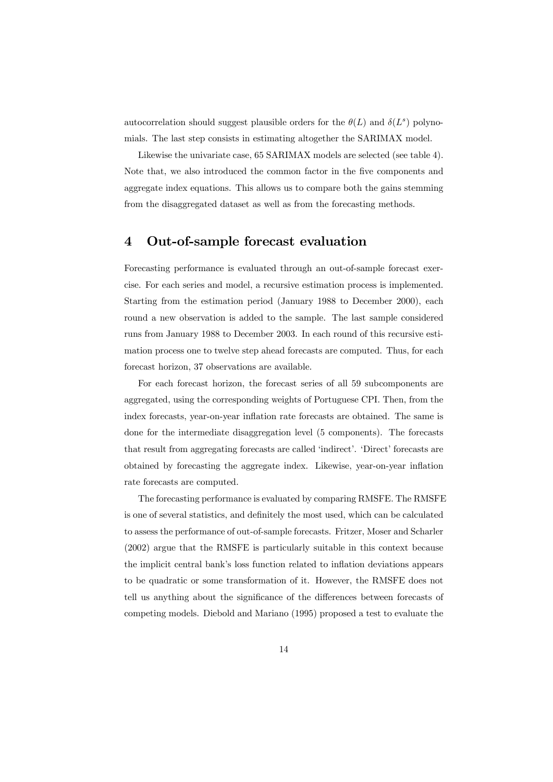autocorrelation should suggest plausible orders for the  $\theta(L)$  and  $\delta(L^s)$  polynomials. The last step consists in estimating altogether the SARIMAX model.

Likewise the univariate case, 65 SARIMAX models are selected (see table 4). Note that, we also introduced the common factor in the five components and aggregate index equations. This allows us to compare both the gains stemming from the disaggregated dataset as well as from the forecasting methods.

# 4 Out-of-sample forecast evaluation

Forecasting performance is evaluated through an out-of-sample forecast exercise. For each series and model, a recursive estimation process is implemented. Starting from the estimation period (January 1988 to December 2000), each round a new observation is added to the sample. The last sample considered runs from January 1988 to December 2003. In each round of this recursive estimation process one to twelve step ahead forecasts are computed. Thus, for each forecast horizon, 37 observations are available.

For each forecast horizon, the forecast series of all 59 subcomponents are aggregated, using the corresponding weights of Portuguese CPI. Then, from the index forecasts, year-on-year inflation rate forecasts are obtained. The same is done for the intermediate disaggregation level (5 components). The forecasts that result from aggregating forecasts are called 'indirect'. 'Direct' forecasts are obtained by forecasting the aggregate index. Likewise, year-on-year inflation rate forecasts are computed.

The forecasting performance is evaluated by comparing RMSFE. The RMSFE is one of several statistics, and definitely the most used, which can be calculated to assess the performance of out-of-sample forecasts. Fritzer, Moser and Scharler (2002) argue that the RMSFE is particularly suitable in this context because the implicit central bank's loss function related to inflation deviations appears to be quadratic or some transformation of it. However, the RMSFE does not tell us anything about the significance of the differences between forecasts of competing models. Diebold and Mariano (1995) proposed a test to evaluate the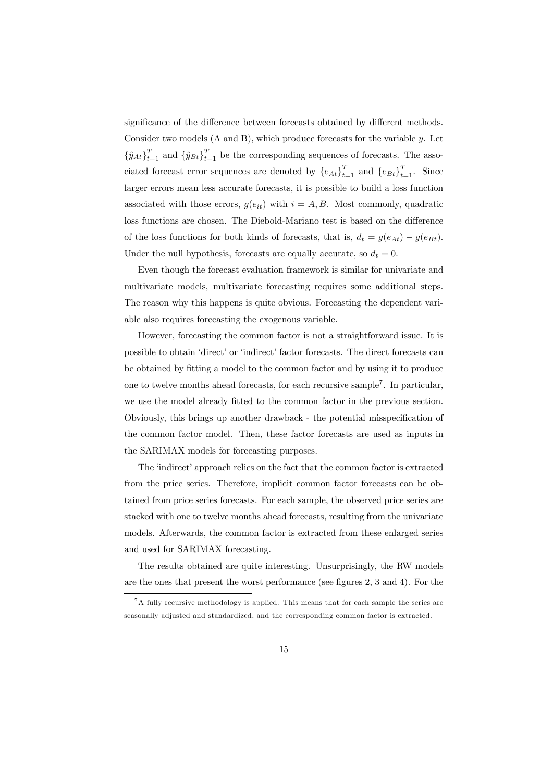significance of the difference between forecasts obtained by different methods. Consider two models (A and B), which produce forecasts for the variable y. Let  $\{\hat{y}_{At}\}_{t=1}^T$  and  $\{\hat{y}_{Bt}\}_{t=1}^T$  be the corresponding sequences of forecasts. The associated forecast error sequences are denoted by  ${e_{At}}_{t=1}^T$  and  ${e_{Bt}}_{t=1}^T$ . Since larger errors mean less accurate forecasts, it is possible to build a loss function associated with those errors,  $g(e_{it})$  with  $i = A, B$ . Most commonly, quadratic loss functions are chosen. The Diebold-Mariano test is based on the difference of the loss functions for both kinds of forecasts, that is,  $d_t = g(e_{At}) - g(e_{Bt})$ . Under the null hypothesis, forecasts are equally accurate, so  $d_t = 0$ .

Even though the forecast evaluation framework is similar for univariate and multivariate models, multivariate forecasting requires some additional steps. The reason why this happens is quite obvious. Forecasting the dependent variable also requires forecasting the exogenous variable.

However, forecasting the common factor is not a straightforward issue. It is possible to obtain 'direct' or 'indirect' factor forecasts. The direct forecasts can be obtained by fitting a model to the common factor and by using it to produce one to twelve months ahead forecasts, for each recursive sample<sup>7</sup>. In particular, we use the model already fitted to the common factor in the previous section. Obviously, this brings up another drawback - the potential misspecification of the common factor model. Then, these factor forecasts are used as inputs in the SARIMAX models for forecasting purposes.

The 'indirect' approach relies on the fact that the common factor is extracted from the price series. Therefore, implicit common factor forecasts can be obtained from price series forecasts. For each sample, the observed price series are stacked with one to twelve months ahead forecasts, resulting from the univariate models. Afterwards, the common factor is extracted from these enlarged series and used for SARIMAX forecasting.

The results obtained are quite interesting. Unsurprisingly, the RW models are the ones that present the worst performance (see figures 2, 3 and 4). For the

 ${}^{7}$ A fully recursive methodology is applied. This means that for each sample the series are seasonally adjusted and standardized, and the corresponding common factor is extracted.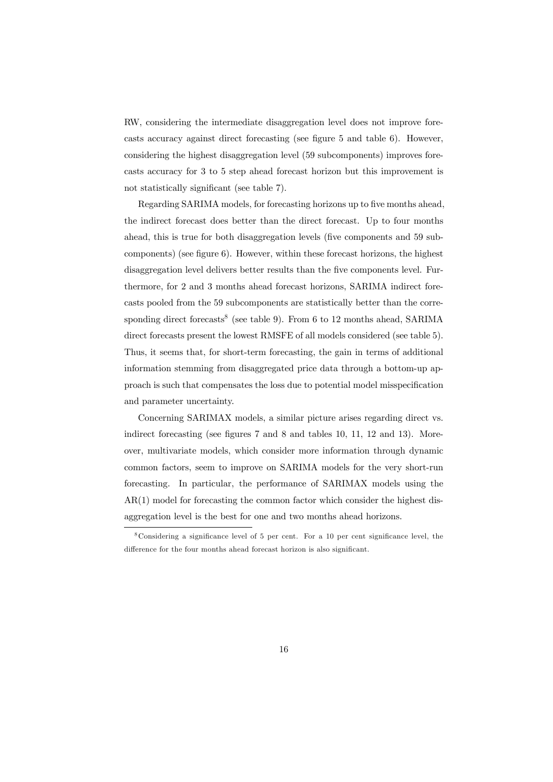RW, considering the intermediate disaggregation level does not improve forecasts accuracy against direct forecasting (see figure 5 and table 6). However, considering the highest disaggregation level (59 subcomponents) improves forecasts accuracy for 3 to 5 step ahead forecast horizon but this improvement is not statistically significant (see table 7).

Regarding SARIMA models, for forecasting horizons up to five months ahead, the indirect forecast does better than the direct forecast. Up to four months ahead, this is true for both disaggregation levels (five components and 59 subcomponents) (see figure 6). However, within these forecast horizons, the highest disaggregation level delivers better results than the five components level. Furthermore, for 2 and 3 months ahead forecast horizons, SARIMA indirect forecasts pooled from the 59 subcomponents are statistically better than the corresponding direct forecasts<sup>8</sup> (see table 9). From 6 to 12 months ahead, SARIMA direct forecasts present the lowest RMSFE of all models considered (see table 5). Thus, it seems that, for short-term forecasting, the gain in terms of additional information stemming from disaggregated price data through a bottom-up approach is such that compensates the loss due to potential model misspecification and parameter uncertainty.

Concerning SARIMAX models, a similar picture arises regarding direct vs. indirect forecasting (see figures 7 and 8 and tables 10, 11, 12 and 13). Moreover, multivariate models, which consider more information through dynamic common factors, seem to improve on SARIMA models for the very short-run forecasting. In particular, the performance of SARIMAX models using the AR(1) model for forecasting the common factor which consider the highest disaggregation level is the best for one and two months ahead horizons.

<sup>8</sup>Considering a significance level of 5 per cent. For a 10 per cent significance level, the difference for the four months ahead forecast horizon is also significant.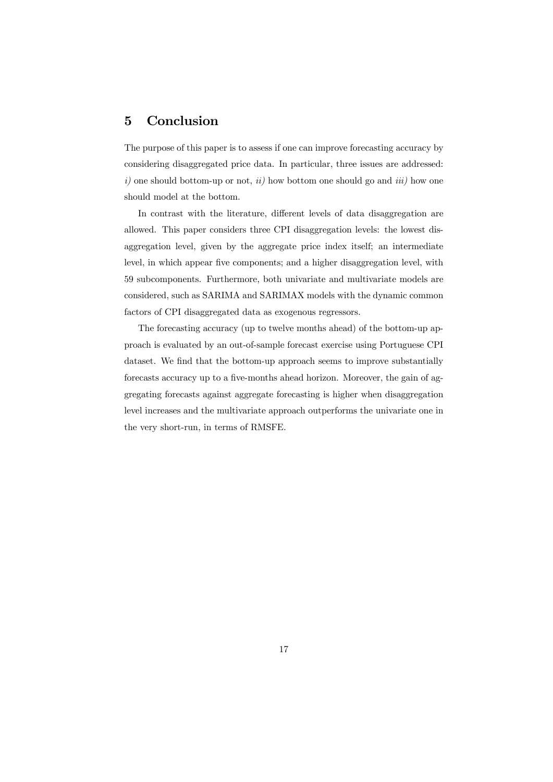# 5 Conclusion

The purpose of this paper is to assess if one can improve forecasting accuracy by considering disaggregated price data. In particular, three issues are addressed:  $i)$  one should bottom-up or not,  $ii)$  how bottom one should go and  $iii)$  how one should model at the bottom.

In contrast with the literature, different levels of data disaggregation are allowed. This paper considers three CPI disaggregation levels: the lowest disaggregation level, given by the aggregate price index itself; an intermediate level, in which appear five components; and a higher disaggregation level, with 59 subcomponents. Furthermore, both univariate and multivariate models are considered, such as SARIMA and SARIMAX models with the dynamic common factors of CPI disaggregated data as exogenous regressors.

The forecasting accuracy (up to twelve months ahead) of the bottom-up approach is evaluated by an out-of-sample forecast exercise using Portuguese CPI dataset. We find that the bottom-up approach seems to improve substantially forecasts accuracy up to a five-months ahead horizon. Moreover, the gain of aggregating forecasts against aggregate forecasting is higher when disaggregation level increases and the multivariate approach outperforms the univariate one in the very short-run, in terms of RMSFE.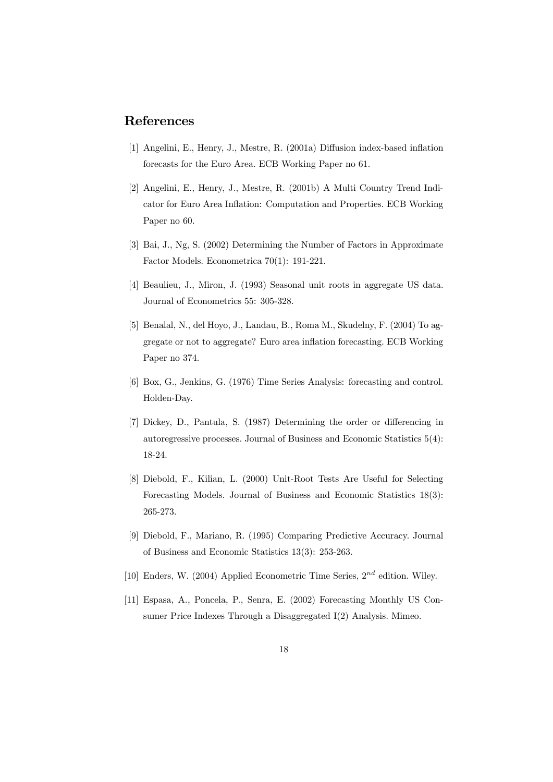# References

- [1] Angelini, E., Henry, J., Mestre, R. (2001a) Diffusion index-based inflation forecasts for the Euro Area. ECB Working Paper no 61.
- [2] Angelini, E., Henry, J., Mestre, R. (2001b) A Multi Country Trend Indicator for Euro Area Inflation: Computation and Properties. ECB Working Paper no 60.
- [3] Bai, J., Ng, S. (2002) Determining the Number of Factors in Approximate Factor Models. Econometrica 70(1): 191-221.
- [4] Beaulieu, J., Miron, J. (1993) Seasonal unit roots in aggregate US data. Journal of Econometrics 55: 305-328.
- [5] Benalal, N., del Hoyo, J., Landau, B., Roma M., Skudelny, F. (2004) To aggregate or not to aggregate? Euro area inflation forecasting. ECB Working Paper no 374.
- [6] Box, G., Jenkins, G. (1976) Time Series Analysis: forecasting and control. Holden-Day.
- [7] Dickey, D., Pantula, S. (1987) Determining the order or differencing in autoregressive processes. Journal of Business and Economic Statistics 5(4): 18-24.
- [8] Diebold, F., Kilian, L. (2000) Unit-Root Tests Are Useful for Selecting Forecasting Models. Journal of Business and Economic Statistics 18(3): 265-273.
- [9] Diebold, F., Mariano, R. (1995) Comparing Predictive Accuracy. Journal of Business and Economic Statistics 13(3): 253-263.
- [10] Enders, W. (2004) Applied Econometric Time Series,  $2^{nd}$  edition. Wiley.
- [11] Espasa, A., Poncela, P., Senra, E. (2002) Forecasting Monthly US Consumer Price Indexes Through a Disaggregated I(2) Analysis. Mimeo.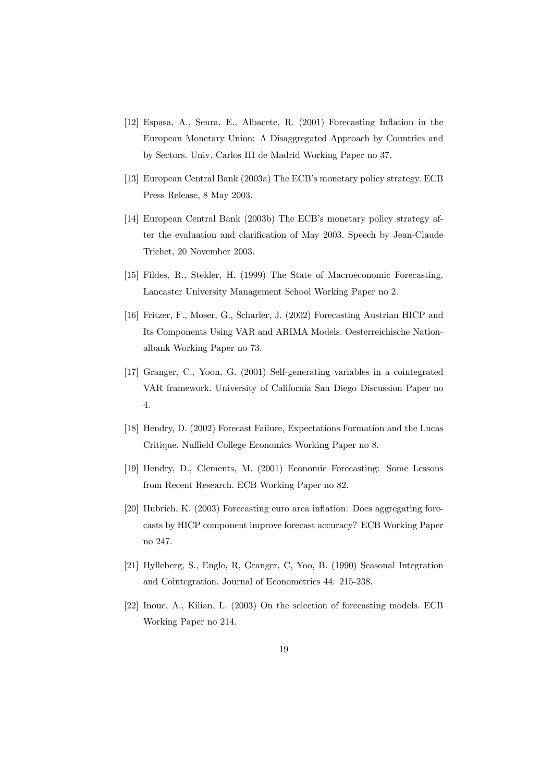- [12] Espasa, A., Senra, E., Albacete, R. (2001) Forecasting Inflation in the European Monetary Union: A Disaggregated Approach by Countries and by Sectors. Univ. Carlos III de Madrid Working Paper no 37.
- [13] European Central Bank (2003a) The ECB's monetary policy strategy. ECB Press Release, 8 May 2003.
- [14] European Central Bank (2003b) The ECB's monetary policy strategy after the evaluation and clarification of May 2003. Speech by Jean-Claude Trichet, 20 November 2003.
- [15] Fildes, R., Stekler, H. (1999) The State of Macroeconomic Forecasting. Lancaster University Management School Working Paper no 2.
- [16] Fritzer, F., Moser, G., Scharler, J. (2002) Forecasting Austrian HICP and Its Components Using VAR and ARIMA Models. Oesterreichische Nationalbank Working Paper no 73.
- [17] Granger, C., Yoon, G. (2001) Self-generating variables in a cointegrated VAR framework. University of California San Diego Discussion Paper no 4.
- [18] Hendry, D. (2002) Forecast Failure, Expectations Formation and the Lucas Critique. Nuffield College Economics Working Paper no 8.
- [19] Hendry, D., Clements, M. (2001) Economic Forecasting: Some Lessons from Recent Research. ECB Working Paper no 82.
- [20] Hubrich, K. (2003) Forecasting euro area inflation: Does aggregating forecasts by HICP component improve forecast accuracy? ECB Working Paper no 247.
- [21] Hylleberg, S., Engle, R, Granger, C, Yoo, B. (1990) Seasonal Integration and Cointegration. Journal of Econometrics 44: 215-238.
- [22] Inoue, A., Kilian, L. (2003) On the selection of forecasting models. ECB Working Paper no 214.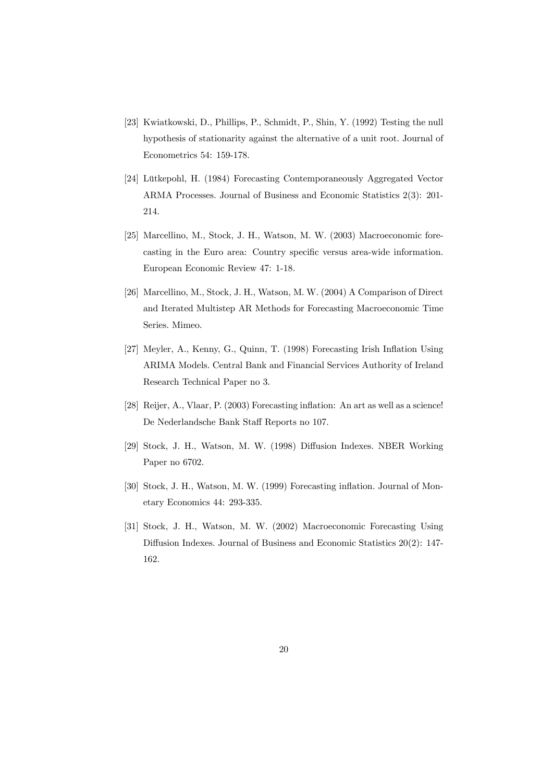- [23] Kwiatkowski, D., Phillips, P., Schmidt, P., Shin, Y. (1992) Testing the null hypothesis of stationarity against the alternative of a unit root. Journal of Econometrics 54: 159-178.
- [24] Lütkepohl, H. (1984) Forecasting Contemporaneously Aggregated Vector ARMA Processes. Journal of Business and Economic Statistics 2(3): 201- 214.
- [25] Marcellino, M., Stock, J. H., Watson, M. W. (2003) Macroeconomic forecasting in the Euro area: Country specific versus area-wide information. European Economic Review 47: 1-18.
- [26] Marcellino, M., Stock, J. H., Watson, M. W. (2004) A Comparison of Direct and Iterated Multistep AR Methods for Forecasting Macroeconomic Time Series. Mimeo.
- [27] Meyler, A., Kenny, G., Quinn, T. (1998) Forecasting Irish Inflation Using ARIMA Models. Central Bank and Financial Services Authority of Ireland Research Technical Paper no 3.
- [28] Reijer, A., Vlaar, P. (2003) Forecasting inflation: An art as well as a science! De Nederlandsche Bank Staff Reports no 107.
- [29] Stock, J. H., Watson, M. W. (1998) Diffusion Indexes. NBER Working Paper no 6702.
- [30] Stock, J. H., Watson, M. W. (1999) Forecasting inflation. Journal of Monetary Economics 44: 293-335.
- [31] Stock, J. H., Watson, M. W. (2002) Macroeconomic Forecasting Using Diffusion Indexes. Journal of Business and Economic Statistics 20(2): 147- 162.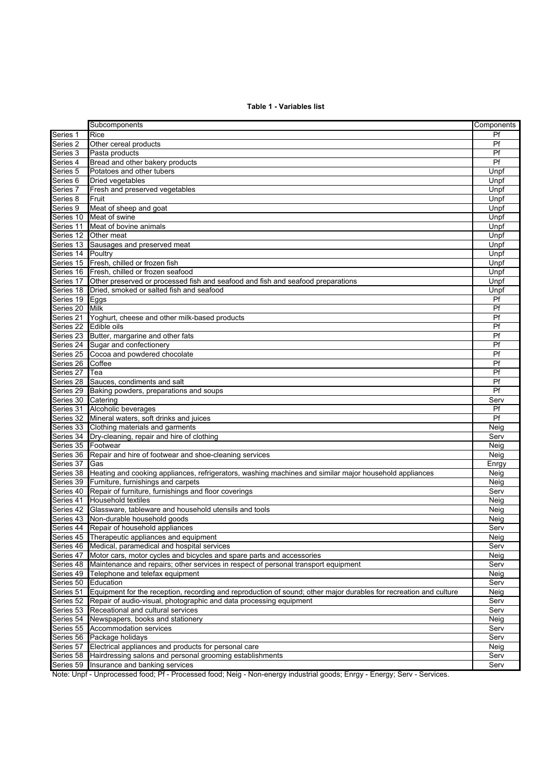### **Table 1 - Variables list**

|                        | Subcomponents                                                                                                     | Components   |
|------------------------|-------------------------------------------------------------------------------------------------------------------|--------------|
| Series 1               | Rice                                                                                                              | Pf           |
| Series <sub>2</sub>    | Other cereal products                                                                                             | Pf           |
| Series 3               | Pasta products                                                                                                    | Pf           |
| Series 4               | Bread and other bakery products                                                                                   | Pf           |
| Series 5               | Potatoes and other tubers                                                                                         | Unpf         |
| Series <sub>6</sub>    | Dried vegetables                                                                                                  | Unpf         |
| Series 7               | Fresh and preserved vegetables                                                                                    | Unpf         |
| Series 8               | Fruit                                                                                                             | Unpf         |
| Series 9               | Meat of sheep and goat                                                                                            | Unpf         |
| Series 10              | Meat of swine                                                                                                     | Unpf         |
| Series 11              | Meat of bovine animals                                                                                            | Unpf         |
|                        | Series 12 Other meat                                                                                              | Unpf         |
|                        | Series 13 Sausages and preserved meat                                                                             | Unpf         |
| Series 14              | Poultry                                                                                                           | Unpf         |
|                        | Series 15 Fresh, chilled or frozen fish                                                                           | Unpf         |
|                        | Series 16 Fresh, chilled or frozen seafood                                                                        | Unpf         |
| Series 17              | Other preserved or processed fish and seafood and fish and seafood preparations                                   | Unpf         |
| Series 18              | Dried, smoked or salted fish and seafood                                                                          | Unpf         |
| Series 19              | Eggs                                                                                                              | Pf           |
| Series 20              | Milk                                                                                                              | Pf           |
| Series 21              | Yoghurt, cheese and other milk-based products                                                                     | Pf           |
| Series 22 Edible oils  |                                                                                                                   | Pf           |
| Series 23              | Butter, margarine and other fats                                                                                  | Pf           |
|                        | Series 24 Sugar and confectionery                                                                                 | Pf           |
| Series 25              | Cocoa and powdered chocolate                                                                                      | Pf           |
| Series 26              | Coffee                                                                                                            | Pf           |
| Series 27              | Tea                                                                                                               | Pf           |
| Series 28              | Sauces, condiments and salt                                                                                       | Pf           |
| Series 29              | Baking powders, preparations and soups                                                                            | Pf           |
| Series 30              | Catering                                                                                                          | Serv         |
|                        | Series 31 Alcoholic beverages                                                                                     | Pf<br>Pf     |
|                        | Series 32 Mineral waters, soft drinks and juices                                                                  |              |
| Series 33<br>Series 34 | Clothing materials and garments<br>Dry-cleaning, repair and hire of clothing                                      | Neig<br>Serv |
| Series 35              | Footwear                                                                                                          | Neig         |
| Series 36              | Repair and hire of footwear and shoe-cleaning services                                                            | Neig         |
| Series 37              | Gas                                                                                                               | Enrgy        |
| Series 38              | Heating and cooking appliances, refrigerators, washing machines and similar major household appliances            | Neig         |
| Series 39              | Furniture, furnishings and carpets                                                                                | Neig         |
| Series 40              | Repair of furniture, furnishings and floor coverings                                                              | Serv         |
| Series 41              | <b>Household textiles</b>                                                                                         | Neig         |
|                        | Series 42 Glassware, tableware and household utensils and tools                                                   | Neig         |
|                        | Series 43 Non-durable household goods                                                                             | Neig         |
|                        | Series 44 Repair of household appliances                                                                          | Serv         |
| Series 45              | Therapeutic appliances and equipment                                                                              | Neig         |
| Series 46              | Medical, paramedical and hospital services                                                                        | Serv         |
| Series 47              | Motor cars, motor cycles and bicycles and spare parts and accessories                                             | Neig         |
| Series 48              | Maintenance and repairs; other services in respect of personal transport equipment                                | Serv         |
| Series 49              | Telephone and telefax equipment                                                                                   | Neig         |
| Series 50              | Education                                                                                                         | Serv         |
| Series 51              | Equipment for the reception, recording and reproduction of sound; other major durables for recreation and culture | Neig         |
| Series 52              | Repair of audio-visual, photographic and data processing equipment                                                | Serv         |
| Series 53              | Receational and cultural services                                                                                 | Serv         |
| Series 54              | Newspapers, books and stationery                                                                                  | Neig         |
| Series 55              | Accommodation services                                                                                            | Serv         |
| Series 56              | Package holidays                                                                                                  | Serv         |
| Series 57              | Electrical appliances and products for personal care                                                              | Neig         |
| Series 58              | Hairdressing salons and personal grooming establishments                                                          | Serv         |
| Series 59              | Insurance and banking services                                                                                    | Serv         |
|                        |                                                                                                                   |              |

Note: Unpf - Unprocessed food; Pf - Processed food; Neig - Non-energy industrial goods; Enrgy - Energy; Serv - Services.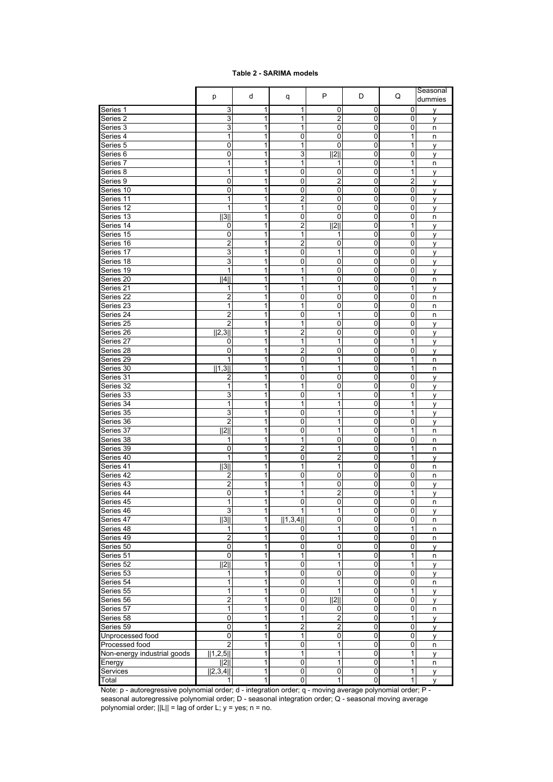#### **Table 2 - SARIMA models**

|                             | р                            | d      | q                               | P                                  | D                           | Q                           | Seasonal<br>dummies |
|-----------------------------|------------------------------|--------|---------------------------------|------------------------------------|-----------------------------|-----------------------------|---------------------|
| Series 1                    | 3                            | 1      | 1                               | 0                                  | 0                           | 0                           | ٧                   |
| Series 2                    | 3                            | 1      | 1                               | 2                                  | 0                           | 0                           | y                   |
| Series 3                    | 3                            | 1      | 1                               | 0                                  | 0                           | 0                           | n                   |
| Series 4                    | 1                            | 1      | 0                               | 0                                  | 0                           | 1                           | n                   |
| Series 5                    | 0                            | 1      | 1                               | 0                                  | 0                           | 1                           | у                   |
| Series <sub>6</sub>         | 0                            | 1      | 3                               | 2                                  | 0                           | $\pmb{0}$                   | у                   |
| Series 7                    | 1                            | 1      | $\mathbf{1}$                    | 1                                  | 0                           | 1                           | n                   |
| Series 8                    | 1                            | 1      | 0                               | 0                                  | 0                           | 1                           | у                   |
| Series 9                    | 0                            | 1      | 0                               | $\overline{2}$                     | 0                           | $\overline{2}$              | y                   |
| Series 10                   | 0                            | 1      | 0                               | $\mathbf 0$                        | 0                           | $\mathbf 0$                 | y                   |
| Series 11                   | 1                            | 1      | $\overline{2}$                  | 0                                  | 0                           | $\pmb{0}$                   | у                   |
| Series 12                   | 1                            | 1      | 1                               | 0                                  | 0                           | 0                           | y                   |
| Series 13<br>Series 14      | 1311                         | 1<br>1 | 0<br>$\overline{2}$             | 0<br> 2                            | 0<br>0                      | 0<br>1                      | n                   |
| Series 15                   | 0<br>0                       | 1      | 1                               | 1                                  | 0                           | $\mathbf 0$                 | y<br>y              |
| Series 16                   | $\overline{\mathbf{c}}$      | 1      | $\overline{2}$                  | 0                                  | 0                           | 0                           | у                   |
| Series 17                   | 3                            | 1      | 0                               | 1                                  | 0                           | 0                           | y                   |
| Series 18                   | 3                            | 1      | 0                               | 0                                  | 0                           | 0                           | у                   |
| Series 19                   | 1                            | 1      | 1                               | 0                                  | 0                           | 0                           | у                   |
| Series 20                   | 4                            | 1      | 1                               | $\mathbf 0$                        | 0                           | $\mathbf 0$                 | n                   |
| Series 21                   | 1                            | 1      | 1                               | 1                                  | 0                           | 1                           | у                   |
| Series 22                   | $\boldsymbol{2}$             | 1      | 0                               | 0                                  | 0                           | 0                           | n                   |
| Series 23                   | 1                            | 1      | 1                               | 0                                  | 0                           | 0                           | n                   |
| Series 24                   | $\overline{c}$               | 1      | 0                               | $\mathbf{1}$                       | 0                           | 0                           | n                   |
| Series 25                   | $\overline{2}$               | 1      | 1                               | $\mathbf 0$                        | 0                           | $\mathbf 0$                 | y                   |
| Series 26                   | 2,3                          | 1      | $\boldsymbol{2}$                | 0                                  | 0                           | $\pmb{0}$                   | y                   |
| Series 27                   | 0                            | 1      | $\mathbf{1}$                    | 1                                  | 0                           | $\mathbf{1}$                | y                   |
| Series 28                   | 0<br>1                       | 1<br>1 | 2                               | 0                                  | 0                           | 0                           | у                   |
| Series 29<br>Series 30      | 1,3                          | 1      | 0<br>1                          | 1<br>$\mathbf{1}$                  | 0<br>0                      | 1<br>1                      | n<br>n              |
| Series 31                   | 2                            | 1      | 0                               | $\mathbf 0$                        | 0                           | 0                           | у                   |
| Series 32                   | 1                            | 1      | 1                               | 0                                  | 0                           | 0                           | y                   |
| Series 33                   | 3                            | 1      | 0                               | 1                                  | 0                           | 1                           | у                   |
| Series 34                   | 1                            | 1      | 1                               | 1                                  | 0                           | 1                           | у                   |
| Series 35                   | 3                            | 1      | $\mathbf 0$                     | 1                                  | 0                           | 1                           | y                   |
| Series 36                   | $\boldsymbol{2}$             | 1      | $\mathbf 0$                     | 1                                  | 0                           | 0                           | у                   |
| Series 37                   | $\overline{2\parallel}$      | 1      | 0                               | 1                                  | 0                           | 1                           | n                   |
| Series 38                   | 1                            | 1      | 1                               | 0                                  | 0                           | 0                           | n                   |
| Series 39                   | 0                            | 1      | $\overline{2}$                  | 1                                  | 0                           | 1                           | n                   |
| Series 40                   | 1                            | 1      | $\mathbf 0$                     | $\overline{2}$                     | 0                           | 1                           | y                   |
| Series 41                   | 3                            | 1      | 1                               | 1                                  | 0                           | 0                           | n                   |
| Series 42<br>Series 43      | 2<br>$\overline{\mathbf{c}}$ | 1<br>1 | 0<br>1                          | 0<br>0                             | 0<br>0                      | 0<br>0                      | n                   |
| Series 44                   | 0                            | 1      | 1                               | 2                                  | 0                           | 1                           | у                   |
| Series 45                   | $\mathbf{1}$                 | 1      | Ō                               | $\overline{0}$                     | $\overline{\mathbf{0}}$     | 0                           | у<br>n              |
| Series 46                   | $\mathsf 3$                  | 1      | 1                               | 1                                  | $\pmb{0}$                   | $\pmb{0}$                   | y                   |
| Series 47                   | $\overline{3}$               | 1      | 1,3,4                           | $\mathbf 0$                        | 0                           | 0                           | n                   |
| Series 48                   | 1                            | 1      | 0                               | 1                                  | 0                           | 1                           | n                   |
| Series 49                   | $\overline{2}$               | 1      | 0                               | 1                                  | 0                           | 0                           | n                   |
| Series 50                   | $\overline{0}$               | 1      | 0                               | $\mathbf 0$                        | 0                           | $\mathsf 0$                 | y                   |
| Series 51                   | $\pmb{0}$                    | 1      | $\mathbf 1$                     | 1                                  | 0                           | $\overline{1}$              | n                   |
| Series 52                   | $\overline{2\parallel}$      | 1      | $\pmb{0}$                       | 1                                  | 0                           | $\mathbf 1$                 | y                   |
| Series 53                   | 1                            | 1      | 0                               | 0                                  | 0                           | 0                           | у                   |
| Series 54                   | 1                            | 1      | 0                               | $\mathbf{1}$                       | 0                           | $\mathsf 0$                 | n                   |
| Series 55                   | 1                            | 1      | 0                               | $\mathbf{1}$                       | 0                           | 1                           | у                   |
| Series 56<br>Series 57      | $\boldsymbol{2}$<br>1        | 1<br>1 | $\pmb{0}$<br>$\overline{0}$     | 2                                  | $\pmb{0}$<br>$\overline{0}$ | $\pmb{0}$<br>0              | y                   |
|                             |                              |        |                                 | 0                                  |                             |                             | n                   |
| Series 58<br>Series 59      | 0<br>0                       | 1<br>1 | $\mathbf 1$<br>$\boldsymbol{2}$ | $\overline{2}$<br>$\boldsymbol{2}$ | 0<br>0                      | $\mathbf{1}$<br>$\mathbf 0$ | у                   |
| Unprocessed food            | 0                            | 1      | $\mathbf 1$                     | $\mathbf 0$                        | 0                           | $\mathbf 0$                 | у<br>у              |
| Processed food              | $\overline{2}$               | 1      | $\pmb{0}$                       | 1                                  | 0                           | $\mathsf 0$                 | n                   |
| Non-energy industrial goods | 1,2,5                        | 1      | 1                               | 1                                  | $\overline{0}$              | $\overline{1}$              | y                   |
| Energy                      | 2                            | 1      | 0                               | 1                                  | 0                           | 1                           | n                   |
| Services                    | 2,3,4                        | 1      | 0                               | 0                                  | 0                           | 1                           | У                   |
| Total                       | 1                            | 1      | $\overline{0}$                  | 1                                  | 0                           | $\overline{1}$              | y                   |

Note: p - autoregressive polynomial order; d - integration order; q - moving average polynomial order; P seasonal autoregressive polynomial order; D - seasonal integration order; Q - seasonal moving average polynomial order;  $||L|| = \text{lag of order } L$ ;  $y = \text{yes}$ ;  $n = \text{no}$ .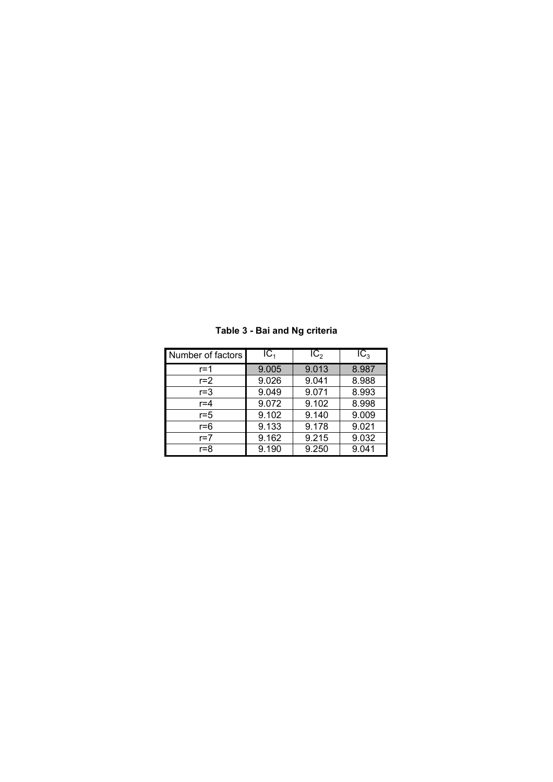| Number of factors | IC <sub>1</sub> | IC <sub>2</sub> | IC <sub>3</sub> |
|-------------------|-----------------|-----------------|-----------------|
| r=1               | 9.005           | 9.013           | 8.987           |
| $r=2$             | 9.026           | 9.041           | 8.988           |
| $r = 3$           | 9.049           | 9.071           | 8.993           |
| $r = 4$           | 9.072           | 9.102           | 8.998           |
| $r = 5$           | 9.102           | 9.140           | 9.009           |
| r=6               | 9.133           | 9.178           | 9.021           |
| $r=7$             | 9.162           | 9.215           | 9.032           |
| r=8               | 9.190           | 9.250           | 9.041           |

**Table 3 - Bai and Ng criteria**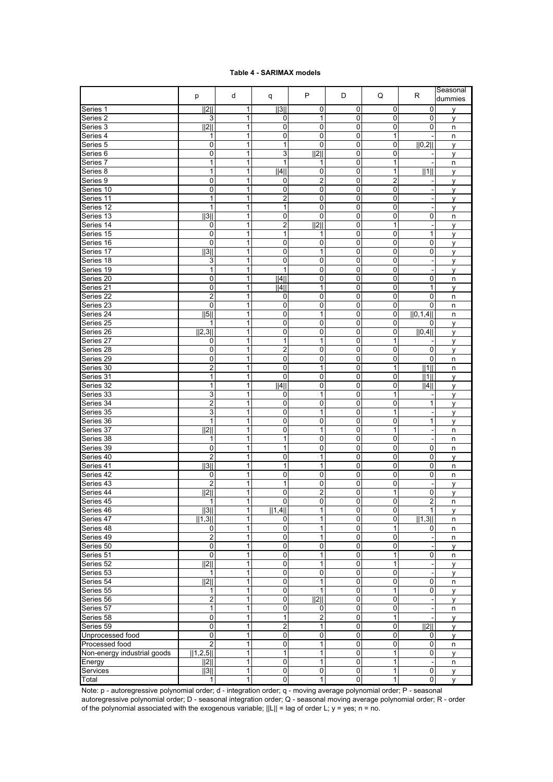#### **Table 4 - SARIMAX models**

|                                    | p                       | d                   | q                 | P                  | D                   | Q                 | R              | Seasonal<br>dummies |
|------------------------------------|-------------------------|---------------------|-------------------|--------------------|---------------------|-------------------|----------------|---------------------|
| Series 1                           | 2                       | 1                   | 3                 | 0                  | 0                   | 0                 | 0              | v                   |
| Series 2                           | 3                       | 1                   | 0                 | 1                  | 0                   | 0                 | $\mathbf 0$    | ٧                   |
| Series 3                           | 2                       | 1                   | 0                 | 0                  | 0                   | 0                 | 0              | n                   |
| Series 4                           | 1                       | 1                   | 0                 | 0                  | 0                   | $\mathbf{1}$      |                | n                   |
| Series <sub>5</sub>                | 0                       | 1                   | 1                 | 0                  | 0                   | 0                 | 0,2            | y                   |
| Series <sub>6</sub>                | 0                       | 1                   | 3                 | 2                  | 0                   | 0                 |                | у                   |
| Series 7                           | $\mathbf{1}$            | $\overline{1}$      | $\overline{1}$    | 1                  | 0                   | $\overline{1}$    |                | n                   |
| Series 8                           | 1                       | 1                   | 4                 | 0                  | 0                   | 1                 | 1              | y                   |
| Series 9                           | 0                       | 1                   | 0                 | 2                  | 0                   | $\overline{2}$    |                | ٧                   |
| Series 10                          | 0                       | 1                   | 0                 | 0                  | 0                   | 0                 |                | y                   |
| Series 11                          | 1                       | 1                   | $\boldsymbol{2}$  | 0                  | 0                   | 0                 |                | у                   |
| Series 12                          | $\mathbf{1}$            | $\overline{1}$      | $\mathbf{1}$      | 0                  | 0                   | $\mathbf 0$       |                | ٧                   |
| Series 13                          | 1131                    | 1                   | 0                 | 0                  | 0                   | 0                 | 0              | n                   |
| Series 14                          | 0                       | 1                   | 2                 | 2                  | 0                   | 1                 |                | ۷                   |
| Series 15                          | 0                       | 1                   | 1                 | 1                  | 0                   | 0                 | 1              | y                   |
| Series 16                          | 0                       | 1                   | 0                 | 0                  | 0                   | 0                 | 0              | у                   |
| Series 17                          | 3                       | $\overline{1}$      | 0                 | $\overline{1}$     | 0                   | $\mathbf 0$       | $\mathbf 0$    | y                   |
| Series 18                          | 3                       | 1                   | 0                 | 0                  | 0                   | 0                 |                | y                   |
| Series 19                          | 1                       | 1                   | 1                 | 0                  | 0                   | 0                 |                | y                   |
| Series 20                          | 0                       | 1                   | 4                 | 0                  | 0                   | 0                 | $\mathbf 0$    | n                   |
| Series 21                          | 0                       | 1<br>$\overline{1}$ | 4                 | 1                  | 0                   | 0                 | 1              | у                   |
| Series <sub>22</sub>               | $\overline{2}$          |                     | 0                 | 0                  | 0                   | 0                 | $\mathbf 0$    | n                   |
| Series 23                          | 0                       | 1                   | 0                 | 0                  | 0                   | 0                 | 0              | n                   |
| Series 24                          | 5  <br>1                | 1                   | 0                 | 1                  | 0                   | 0<br>$\pmb{0}$    | 0,1,4          | n                   |
| Series 25<br>Series 26             |                         | 1<br>1              | 0                 | 0<br>0             | 0                   |                   | 0              | y                   |
|                                    | 2,3                     | 1                   | 0<br>$\mathbf{1}$ | 1                  | 0<br>0              | 0<br>$\mathbf{1}$ | 0,4            | у                   |
| Series 27<br>Series 28             | 0<br>0                  | 1                   | 2                 | 0                  | 0                   | 0                 | 0              | ٧                   |
| Series 29                          | 0                       | 1                   | 0                 | 0                  | 0                   | 0                 | 0              | y                   |
| Series 30                          | $\overline{c}$          | 1                   | 0                 | 1                  | 0                   | 1                 | 1              | n<br>n              |
| Series 31                          | 1                       | 1                   | 0                 | 0                  | 0                   | 0                 | 1              | У                   |
| Series 32                          | 1                       | 1                   | 4                 | 0                  | 0                   | $\mathbf 0$       | 4              | ۷                   |
| Series 33                          | 3                       | 1                   | 0                 | 1                  | 0                   | 1                 |                | y                   |
| Series 34                          | $\overline{c}$          | 1                   | 0                 | 0                  | 0                   | 0                 | 1              | ٧                   |
| Series 35                          | 3                       | 1                   | 0                 | 1                  | 0                   | 1                 |                | y                   |
| Series 36                          | 1                       | 1                   | 0                 | 0                  | 0                   | 0                 | 1              | у                   |
| Series 37                          | 2                       | 1                   | 0                 | 1                  | 0                   | $\mathbf{1}$      |                | n                   |
| Series 38                          | 1                       | 1                   | 1                 | 0                  | 0                   | 0                 |                | n                   |
| Series 39                          | 0                       | 1                   | 1                 | 0                  | 0                   | 0                 | 0              | n                   |
| Series 40                          | 2                       | 1                   | 0                 | 1                  | 0                   | 0                 | 0              | y                   |
| Series 41                          | 3                       | 1                   | 1                 | 1                  | 0                   | 0                 | 0              | n                   |
| Series 42                          | 0                       | 1                   | 0                 | 0                  | 0                   | $\mathbf 0$       | 0              | n                   |
| Series 43                          | 2                       | 1                   | 1                 | 0                  | 0                   | 0                 |                | ٧                   |
| Series 44                          | 2                       | 1                   | 0                 | 2                  | 0                   | 1                 | 0              | у                   |
| Series 45                          | $\mathbf{1}$            | $\mathbf{1}$        | $\Omega$          | $\overline{0}$     | $\overline{0}$      | $\overline{0}$    | $\mathfrak{p}$ | n                   |
| Series 46                          | 3                       | 1                   | 1,4               | 1                  | 0                   | 0                 | 1              | y                   |
| Series 47                          | 1,3                     | 1                   | 0                 | 1                  | $\overline{0}$      | $\pmb{0}$         | 1,3            | n                   |
| Series 48                          | 0                       | 1                   | $\pmb{0}$         | 1                  | 0                   | $\mathbf{1}$      | 0              | n                   |
| Series 49                          | $\overline{c}$          | 1                   | 0                 | 1                  | 0                   | 0                 |                | n                   |
| Series 50                          | $\mathbf 0$             | 1                   | $\pmb{0}$         | 0                  | $\pmb{0}$           | $\pmb{0}$         |                | У                   |
| Series 51                          | $\mathbf 0$             | 1                   | 0                 | 1                  | $\mathbf 0$         | $\mathbf{1}$      | 0              | n                   |
| Series 52                          | 2                       | 1                   | $\overline{0}$    | 1                  | $\mathbf 0$         | $\mathbf{1}$      |                | y                   |
| Series 53                          | 1                       | 1                   | 0                 | 0                  | 0                   | 0                 |                | y                   |
| Series 54                          | 2                       | 1                   | 0                 | 1                  | 0                   | 0                 | 0              | n                   |
| Series 55                          | 1                       | 1                   | $\pmb{0}$         | 1                  | $\mathbf 0$         | 1                 | 0              | y                   |
| Series 56                          | 2                       | 1                   | 0                 | $\overline{  2  }$ | $\mathbf 0$         | 0                 |                | У                   |
| Series 57                          | 1                       | 1                   | 0                 | 0                  | $\overline{0}$<br>0 | 0                 |                | n                   |
| Series 58                          | 0                       | 1                   | 1                 | $\overline{2}$     |                     | 1                 |                | v                   |
| Series 59                          | 0<br>$\mathbf 0$        | 1<br>1              | 2<br>$\pmb{0}$    | $\mathbf{1}$       | 0<br>$\mathbf 0$    | 0<br>$\pmb{0}$    | 2              | у                   |
| Unprocessed food<br>Processed food | $\overline{\mathbf{c}}$ | 1                   | $\pmb{0}$         | 0<br>1             | $\mathbf 0$         | 0                 | 0<br>0         | y                   |
| Non-energy industrial goods        | 1,2,5                   | 1                   | $\mathbf{1}$      | 1                  | $\mathbf 0$         | $\mathbf{1}$      | $\mathbf 0$    | n                   |
| Energy                             | 2                       | 1                   | 0                 | 1                  | 0                   | 1                 |                | y<br>n              |
| Services                           | 3                       | 1                   | 0                 | 0                  | 0                   | 1                 | 0              |                     |
| Total                              | 1                       | 1                   | $\overline{0}$    | 1                  | $\overline{0}$      | 1                 | $\overline{0}$ | у<br>У              |
|                                    |                         |                     |                   |                    |                     |                   |                |                     |

Note: p - autoregressive polynomial order; d - integration order; q - moving average polynomial order; P - seasonal autoregressive polynomial order; D - seasonal integration order; Q - seasonal moving average polynomial order; R - order of the polynomial associated with the exogenous variable; ||L|| = lag of order L; y = yes; n = no.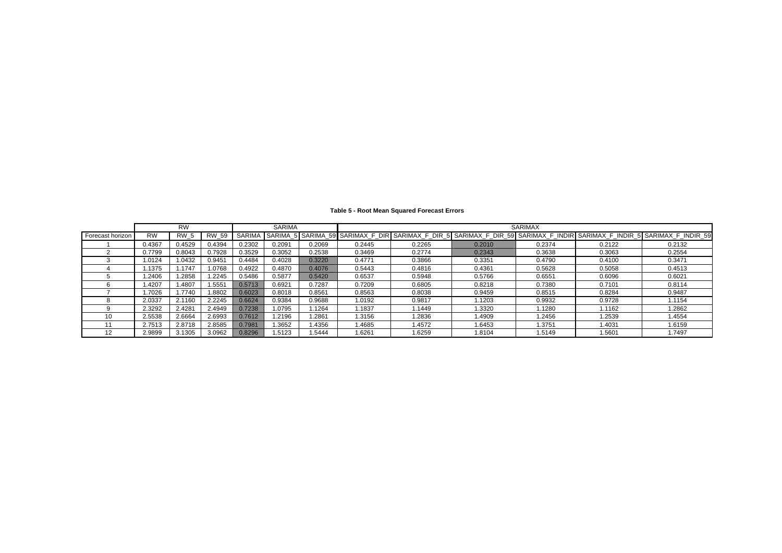#### **Table 5 - Root Mean Squared Forecast Errors**

|                  |           | <b>RW</b>   |              |               | <b>SARIMA</b> |        |        |        |        | <b>SARIMAX</b> |        |                                                                                                                        |
|------------------|-----------|-------------|--------------|---------------|---------------|--------|--------|--------|--------|----------------|--------|------------------------------------------------------------------------------------------------------------------------|
| Forecast horizon | <b>RW</b> | <b>RW 5</b> | <b>RW 59</b> | <b>SARIMA</b> |               |        |        |        |        |                |        | SARIMA_5 SARIMA_59 SARIMAX_F_DIR SARIMAX_F_DIR_5 SARIMAX_F_DIR_59 SARIMAX_F_INDIR SARIMAX_F_INDIR_5 SARIMAX_F_INDIR_59 |
|                  | 0.4367    | 0.4529      | 0.4394       | 0.2302        | 0.2091        | 0.2069 | 0.2445 | 0.2265 | 0.2010 | 0.2374         | 0.2122 | 0.2132                                                                                                                 |
|                  | 0.7799    | 0.8043      | 0.7928       | 0.3529        | 0.3052        | 0.2538 | 0.3469 | 0.2774 | 0.2343 | 0.3638         | 0.3063 | 0.2554                                                                                                                 |
|                  | .0124     | 1.0432      | 0.9451       | 0.4484        | 0.4028        | 0.3220 | 0.4771 | 0.3866 | 0.3351 | 0.4790         | 0.4100 | 0.3471                                                                                                                 |
|                  | .1375     | .1747       | 1.0768       | 0.4922        | 0.4870        | 0.4076 | 0.5443 | 0.4816 | 0.4361 | 0.5628         | 0.5058 | 0.4513                                                                                                                 |
|                  | .2406     | .2858       | .2245        | 0.5486        | 0.5877        | 0.5420 | 0.6537 | 0.5948 | 0.5766 | 0.6551         | 0.6096 | 0.6021                                                                                                                 |
|                  | .4207     | .4807       | .5551        | 0.5713        | 0.6921        | 0.7287 | 0.7209 | 0.6805 | 0.8218 | 0.7380         | 0.7101 | 0.8114                                                                                                                 |
|                  | .7026     | .7740       | 1.8802       | 0.6023        | 0.8018        | 0.8561 | 0.8563 | 0.8038 | 0.9459 | 0.8515         | 0.8284 | 0.9487                                                                                                                 |
|                  | 2.0337    | 2.1160      | 2.2245       | 0.6624        | 0.9384        | 0.9688 | 1.0192 | 0.9817 | 1.1203 | 0.9932         | 0.9728 | 1.1154                                                                                                                 |
|                  | 2.3292    | 2.4281      | 2.4949       | 0.7238        | 1.0795        | 1.1264 | 1.1837 | 1.1449 | 1.3320 | 1.1280         | 1.1162 | 1.2862                                                                                                                 |
| 10               | 2.5538    | 2.6664      | 2.6993       | 0.7612        | 1.2196        | 1.2861 | 1.3156 | 1.2836 | 1.4909 | 1.2456         | 1.2539 | 1.4554                                                                                                                 |
|                  | 2.7513    | 2.8718      | 2.8585       | 0.7981        | 1.3652        | 1.4356 | 1.4685 | 1.4572 | 1.6453 | 1.3751         | 1.4031 | 1.6159                                                                                                                 |
| 12               | 2.9899    | 3.1305      | 3.0962       | 0.8296        | 1.5123        | 1.5444 | 1.6261 | 1.6259 | 1.8104 | 1.5149         | 1.5601 | 1.7497                                                                                                                 |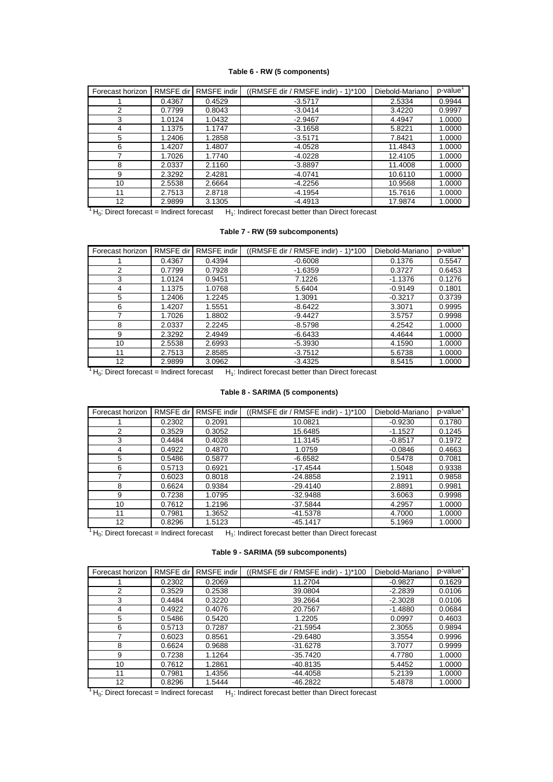### **Table 6 - RW (5 components)**

| Forecast horizon | RMSFE dir | RMSFE indir | ((RMSFE dir / RMSFE indir) - 1)*100 | Diebold-Mariano | p-value |
|------------------|-----------|-------------|-------------------------------------|-----------------|---------|
|                  | 0.4367    | 0.4529      | $-3.5717$                           | 2.5334          | 0.9944  |
| 2                | 0.7799    | 0.8043      | $-3.0414$                           | 3.4220          | 0.9997  |
| 3                | 1.0124    | 1.0432      | $-2.9467$                           | 4.4947          | 1.0000  |
| 4                | 1.1375    | 1.1747      | $-3.1658$                           | 5.8221          | 1.0000  |
| 5                | 1.2406    | 1.2858      | $-3.5171$                           | 7.8421          | 1.0000  |
| 6                | 1.4207    | 1.4807      | $-4.0528$                           | 11.4843         | 1.0000  |
| 7                | 1.7026    | 1.7740      | $-4.0228$                           | 12.4105         | 1.0000  |
| 8                | 2.0337    | 2.1160      | $-3.8897$                           | 11.4008         | 1.0000  |
| 9                | 2.3292    | 2.4281      | $-4.0741$                           | 10.6110         | 1.0000  |
| 10               | 2.5538    | 2.6664      | $-4.2256$                           | 10.9568         | 1.0000  |
| 11               | 2.7513    | 2.8718      | $-4.1954$                           | 15.7616         | 1.0000  |
| 12               | 2.9899    | 3.1305      | $-4.4913$                           | 17.9874         | 1.0000  |

 $1 H_0$ : Direct forecast = Indirect forecast  $-H_1$ : Indirect forecast better than Direct forecast

### **Table 7 - RW (59 subcomponents)**

| Forecast horizon | <b>RMSFE</b> dir | RMSFE indir | $((RMSFE$ dir / RMSFE indir) - 1)*100 | Diebold-Mariano | $p$ -value $^1$ |
|------------------|------------------|-------------|---------------------------------------|-----------------|-----------------|
|                  | 0.4367           | 0.4394      | $-0.6008$                             | 0.1376          | 0.5547          |
| 2                | 0.7799           | 0.7928      | $-1.6359$                             | 0.3727          | 0.6453          |
| 3                | 1.0124           | 0.9451      | 7.1226                                | $-1.1376$       | 0.1276          |
| 4                | 1.1375           | 1.0768      | 5.6404                                | $-0.9149$       | 0.1801          |
| 5                | 1.2406           | 1.2245      | 1.3091                                | $-0.3217$       | 0.3739          |
| 6                | 1.4207           | 1.5551      | $-8.6422$                             | 3.3071          | 0.9995          |
| 7                | 1.7026           | 1.8802      | $-9.4427$                             | 3.5757          | 0.9998          |
| 8                | 2.0337           | 2.2245      | $-8.5798$                             | 4.2542          | 1.0000          |
| 9                | 2.3292           | 2.4949      | $-6.6433$                             | 4.4644          | 1.0000          |
| 10               | 2.5538           | 2.6993      | $-5.3930$                             | 4.1590          | 1.0000          |
| 11               | 2.7513           | 2.8585      | $-3.7512$                             | 5.6738          | 1.0000          |
| 12               | 2.9899           | 3.0962      | $-3.4325$                             | 8.5415          | 1.0000          |

 $1 H_0$ : Direct forecast = Indirect forecast H<sub>1</sub>: Indirect forecast better than Direct forecast

### **Table 8 - SARIMA (5 components)**

| Forecast horizon | <b>RMSFE</b> dir | RMSFE indir | ((RMSFE dir / RMSFE indir) - 1)*100 | Diebold-Mariano | p-value |
|------------------|------------------|-------------|-------------------------------------|-----------------|---------|
|                  | 0.2302           | 0.2091      | 10.0821                             | $-0.9230$       | 0.1780  |
| 2                | 0.3529           | 0.3052      | 15.6485                             | $-1.1527$       | 0.1245  |
| 3                | 0.4484           | 0.4028      | 11.3145                             | $-0.8517$       | 0.1972  |
| 4                | 0.4922           | 0.4870      | 1.0759                              | $-0.0846$       | 0.4663  |
| 5                | 0.5486           | 0.5877      | $-6.6582$                           | 0.5478          | 0.7081  |
| 6                | 0.5713           | 0.6921      | $-17.4544$                          | 1.5048          | 0.9338  |
|                  | 0.6023           | 0.8018      | $-24.8858$                          | 2.1911          | 0.9858  |
| 8                | 0.6624           | 0.9384      | $-29.4140$                          | 2.8891          | 0.9981  |
| 9                | 0.7238           | 1.0795      | $-32.9488$                          | 3.6063          | 0.9998  |
| 10               | 0.7612           | 1.2196      | $-37.5844$                          | 4.2957          | 1.0000  |
| 11               | 0.7981           | 1.3652      | $-41.5378$                          | 4.7000          | 1.0000  |
| 12               | 0.8296           | 1.5123      | $-45.1417$                          | 5.1969          | 1.0000  |

 $1 H_0$ : Direct forecast = Indirect forecast H<sub>1</sub>: Indirect forecast better than Direct forecast

#### **Table 9 - SARIMA (59 subcomponents)**

| Forecast horizon | <b>RMSFE</b> dir | RMSFE indir | ((RMSFE dir / RMSFE indir) - 1)*100 | Diebold-Mariano | p-value <sup>1</sup> |
|------------------|------------------|-------------|-------------------------------------|-----------------|----------------------|
|                  | 0.2302           | 0.2069      | 11.2704                             | $-0.9827$       | 0.1629               |
| 2                | 0.3529           | 0.2538      | 39.0804                             | $-2.2839$       | 0.0106               |
| 3                | 0.4484           | 0.3220      | 39.2664                             | $-2.3028$       | 0.0106               |
| 4                | 0.4922           | 0.4076      | 20.7567                             | $-1.4880$       | 0.0684               |
| 5                | 0.5486           | 0.5420      | 1.2205                              | 0.0997          | 0.4603               |
| 6                | 0.5713           | 0.7287      | $-21.5954$                          | 2.3055          | 0.9894               |
| 7                | 0.6023           | 0.8561      | $-29.6480$                          | 3.3554          | 0.9996               |
| 8                | 0.6624           | 0.9688      | $-31.6278$                          | 3.7077          | 0.9999               |
| 9                | 0.7238           | 1.1264      | $-35.7420$                          | 4.7780          | 1.0000               |
| 10               | 0.7612           | 1.2861      | $-40.8135$                          | 5.4452          | 1.0000               |
| 11               | 0.7981           | 1.4356      | $-44.4058$                          | 5.2139          | 1.0000               |
| 12               | 0.8296           | 1.5444      | $-46.2822$                          | 5.4878          | 1.0000               |

 $1 H_0$ : Direct forecast = Indirect forecast  $H_1$ : Indirect forecast better than Direct forecast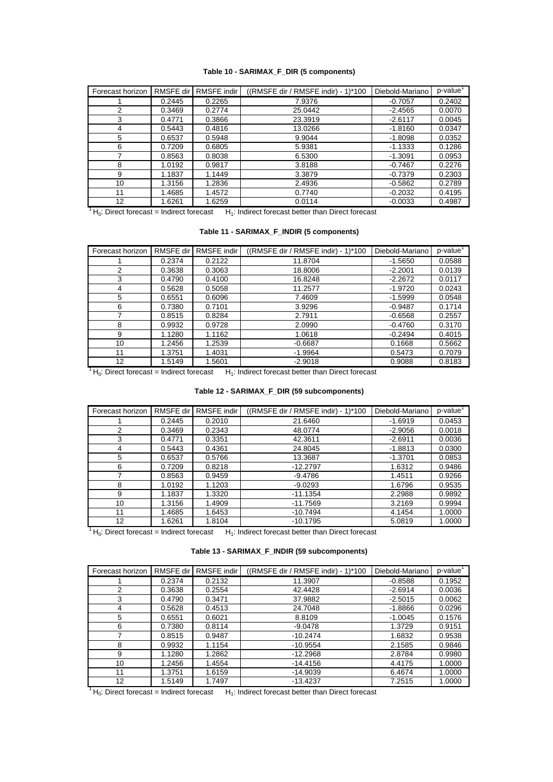### **Table 10 - SARIMAX\_F\_DIR (5 components)**

| Forecast horizon | <b>RMSFE</b> dir | <b>RMSFE</b> indir | ((RMSFE dir / RMSFE indir) - 1)*100 | Diebold-Mariano | p-value |
|------------------|------------------|--------------------|-------------------------------------|-----------------|---------|
|                  | 0.2445           | 0.2265             | 7.9376                              | $-0.7057$       | 0.2402  |
| 2                | 0.3469           | 0.2774             | 25.0442                             | $-2.4565$       | 0.0070  |
| 3                | 0.4771           | 0.3866             | 23.3919                             | $-2.6117$       | 0.0045  |
| 4                | 0.5443           | 0.4816             | 13.0266                             | $-1.8160$       | 0.0347  |
| 5                | 0.6537           | 0.5948             | 9.9044                              | $-1.8098$       | 0.0352  |
| 6                | 0.7209           | 0.6805             | 5.9381                              | $-1.1333$       | 0.1286  |
| 7                | 0.8563           | 0.8038             | 6.5300                              | $-1.3091$       | 0.0953  |
| 8                | 1.0192           | 0.9817             | 3.8188                              | $-0.7467$       | 0.2276  |
| 9                | 1.1837           | 1.1449             | 3.3879                              | $-0.7379$       | 0.2303  |
| 10               | 1.3156           | 1.2836             | 2.4936                              | $-0.5862$       | 0.2789  |
| 11               | 1.4685           | 1.4572             | 0.7740                              | $-0.2032$       | 0.4195  |
| 12               | 1.6261           | 1.6259             | 0.0114                              | $-0.0033$       | 0.4987  |

 $1 H_0$ : Direct forecast = Indirect forecast  $-H_1$ : Indirect forecast better than Direct forecast

### **Table 11 - SARIMAX\_F\_INDIR (5 components)**

| Forecast horizon | <b>RMSFE</b> dir | RMSFE indir | $((RMSFE$ dir / RMSFE indir) - 1)*100 | Diebold-Mariano | p-value' |
|------------------|------------------|-------------|---------------------------------------|-----------------|----------|
|                  | 0.2374           | 0.2122      | 11.8704                               | $-1.5650$       | 0.0588   |
| 2                | 0.3638           | 0.3063      | 18.8006                               | $-2.2001$       | 0.0139   |
| 3                | 0.4790           | 0.4100      | 16.8248                               | $-2.2672$       | 0.0117   |
| 4                | 0.5628           | 0.5058      | 11.2577                               | $-1.9720$       | 0.0243   |
| 5                | 0.6551           | 0.6096      | 7.4609                                | $-1.5999$       | 0.0548   |
| 6                | 0.7380           | 0.7101      | 3.9296                                | $-0.9487$       | 0.1714   |
| 7                | 0.8515           | 0.8284      | 2.7911                                | $-0.6568$       | 0.2557   |
| 8                | 0.9932           | 0.9728      | 2.0990                                | $-0.4760$       | 0.3170   |
| 9                | 1.1280           | 1.1162      | 1.0618                                | $-0.2494$       | 0.4015   |
| 10               | 1.2456           | 1.2539      | $-0.6687$                             | 0.1668          | 0.5662   |
| 11               | 1.3751           | 1.4031      | $-1.9964$                             | 0.5473          | 0.7079   |
| 12               | 1.5149           | 1.5601      | $-2.9018$                             | 0.9088          | 0.8183   |

 $1 H_0$ : Direct forecast = Indirect forecast H<sub>1</sub>: Indirect forecast better than Direct forecast

**Table 12 - SARIMAX\_F\_DIR (59 subcomponents)**

| Forecast horizon | <b>RMSFE</b> dir | RMSFE indir | ((RMSFE dir / RMSFE indir) - 1)*100 | Diebold-Mariano | p-value |
|------------------|------------------|-------------|-------------------------------------|-----------------|---------|
|                  | 0.2445           | 0.2010      | 21.6460                             | $-1.6919$       | 0.0453  |
| $\overline{2}$   | 0.3469           | 0.2343      | 48.0774                             | $-2.9056$       | 0.0018  |
| 3                | 0.4771           | 0.3351      | 42.3611                             | $-2.6911$       | 0.0036  |
| 4                | 0.5443           | 0.4361      | 24.8045                             | $-1.8813$       | 0.0300  |
| 5                | 0.6537           | 0.5766      | 13.3687                             | $-1.3701$       | 0.0853  |
| 6                | 0.7209           | 0.8218      | $-12.2797$                          | 1.6312          | 0.9486  |
|                  | 0.8563           | 0.9459      | $-9.4786$                           | 1.4511          | 0.9266  |
| 8                | 1.0192           | 1.1203      | $-9.0293$                           | 1.6796          | 0.9535  |
| 9                | 1.1837           | 1.3320      | $-11.1354$                          | 2.2988          | 0.9892  |
| 10               | 1.3156           | 1.4909      | $-11.7569$                          | 3.2169          | 0.9994  |
| 11               | 1.4685           | 1.6453      | $-10.7494$                          | 4.1454          | 1.0000  |
| 12               | 1.6261           | 1.8104      | $-10.1795$                          | 5.0819          | 1.0000  |

 $1 H_0$ : Direct forecast = Indirect forecast  $H_1$ : Indirect forecast better than Direct forecast

| Table 13 - SARIMAX_F_INDIR (59 subcomponents) |  |  |  |  |
|-----------------------------------------------|--|--|--|--|
|-----------------------------------------------|--|--|--|--|

| Forecast horizon | RMSFE dir | <b>RMSFE</b> indir | ((RMSFE dir / RMSFE indir) - 1)*100 | Diebold-Mariano | p-value <sup>1</sup> |
|------------------|-----------|--------------------|-------------------------------------|-----------------|----------------------|
|                  | 0.2374    | 0.2132             | 11.3907                             | $-0.8588$       | 0.1952               |
| 2                | 0.3638    | 0.2554             | 42.4428                             | $-2.6914$       | 0.0036               |
| 3                | 0.4790    | 0.3471             | 37.9882                             | $-2.5015$       | 0.0062               |
| 4                | 0.5628    | 0.4513             | 24.7048                             | $-1.8866$       | 0.0296               |
| 5                | 0.6551    | 0.6021             | 8.8109                              | $-1.0045$       | 0.1576               |
| 6                | 0.7380    | 0.8114             | $-9.0478$                           | 1.3729          | 0.9151               |
|                  | 0.8515    | 0.9487             | $-10.2474$                          | 1.6832          | 0.9538               |
| 8                | 0.9932    | 1.1154             | $-10.9554$                          | 2.1585          | 0.9846               |
| 9                | 1.1280    | 1.2862             | $-12.2968$                          | 2.8784          | 0.9980               |
| 10               | 1.2456    | 1.4554             | $-14.4156$                          | 4.4175          | 1.0000               |
| 11               | 1.3751    | 1.6159             | $-14.9039$                          | 6.4674          | 1.0000               |
| 12               | 1.5149    | 1.7497             | $-13.4237$                          | 7.2515          | 1.0000               |

 $1 H_0$ : Direct forecast = Indirect forecast H<sub>1</sub>: Indirect forecast better than Direct forecast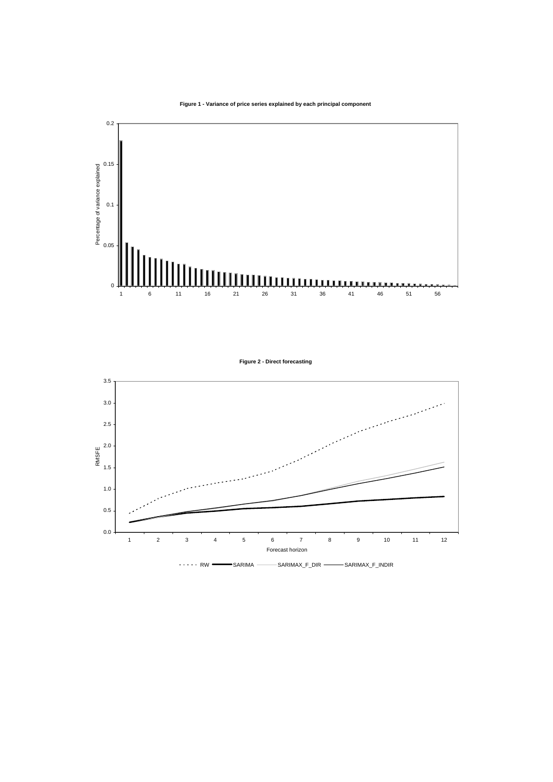**Figure 1 - Variance of price series explained by each principal component**



**Figure 2 - Direct forecasting**

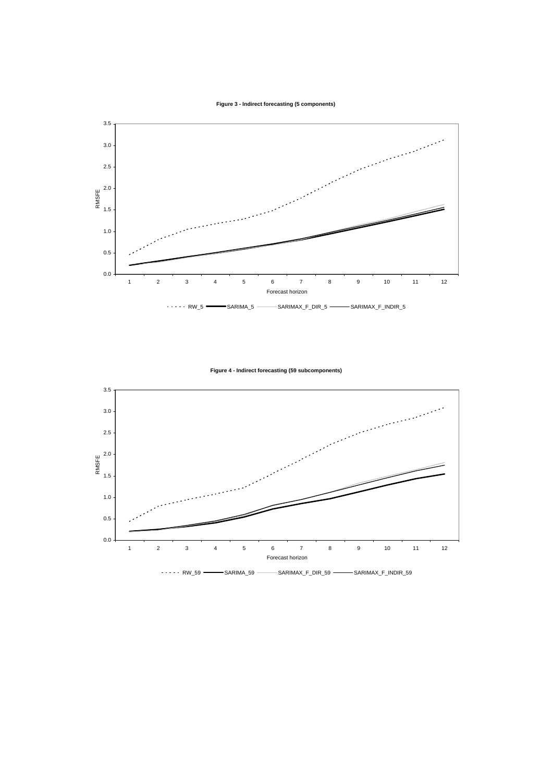**Figure 3 - Indirect forecasting (5 components)**



**Figure 4 - Indirect forecasting (59 subcomponents)**

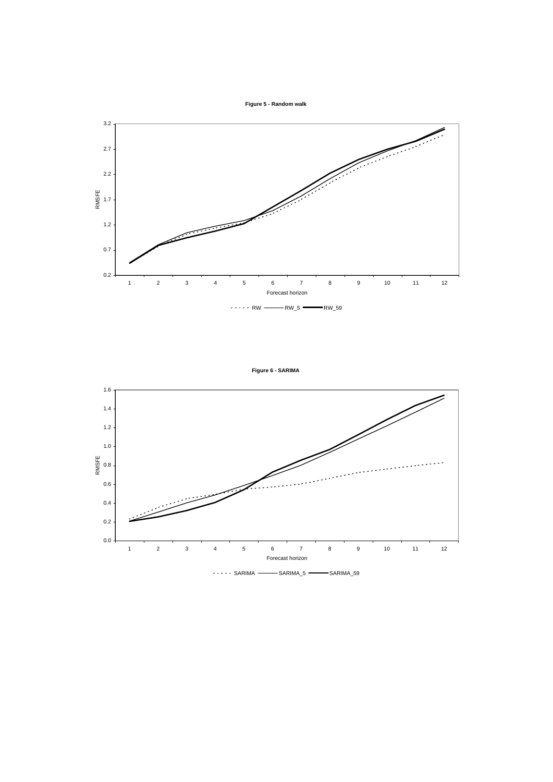